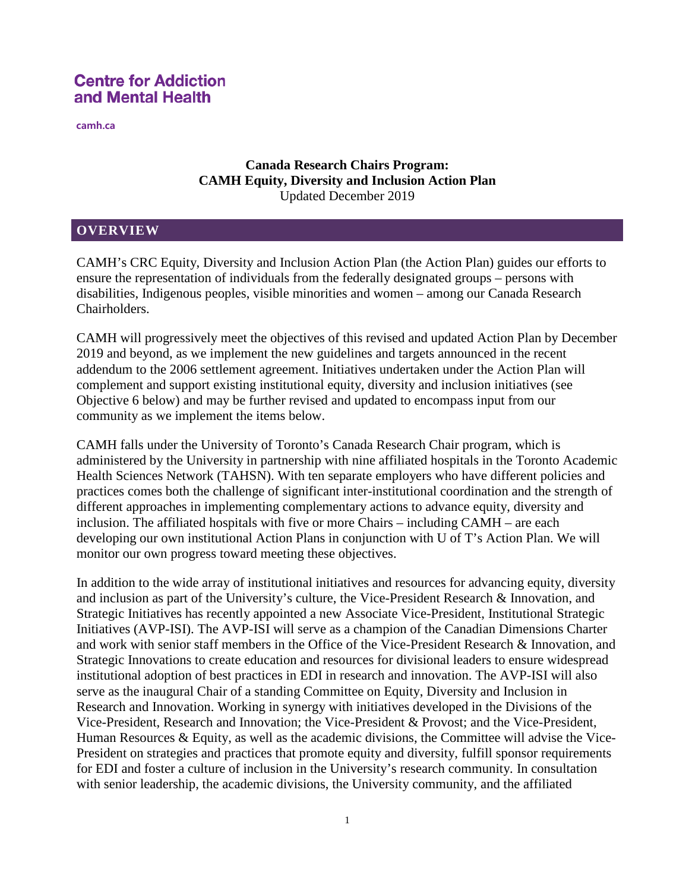**camh.ca**

## **Canada Research Chairs Program: CAMH Equity, Diversity and Inclusion Action Plan** Updated December 2019

### **OVERVIEW**

CAMH's CRC Equity, Diversity and Inclusion Action Plan (the Action Plan) guides our efforts to ensure the representation of individuals from the federally designated groups – persons with disabilities, Indigenous peoples, visible minorities and women – among our Canada Research Chairholders.

CAMH will progressively meet the objectives of this revised and updated Action Plan by December 2019 and beyond, as we implement the new guidelines and targets announced in the recent addendum to the 2006 settlement agreement. Initiatives undertaken under the Action Plan will complement and support existing institutional equity, diversity and inclusion initiatives (see Objective 6 below) and may be further revised and updated to encompass input from our community as we implement the items below.

CAMH falls under the University of Toronto's Canada Research Chair program, which is administered by the University in partnership with nine affiliated hospitals in the Toronto Academic Health Sciences Network (TAHSN). With ten separate employers who have different policies and practices comes both the challenge of significant inter-institutional coordination and the strength of different approaches in implementing complementary actions to advance equity, diversity and inclusion. The affiliated hospitals with five or more Chairs – including CAMH – are each developing our own institutional Action Plans in conjunction with U of T's Action Plan. We will monitor our own progress toward meeting these objectives.

In addition to the wide array of institutional initiatives and resources for advancing equity, diversity and inclusion as part of the University's culture, the Vice-President Research & Innovation, and Strategic Initiatives has recently appointed a new Associate Vice-President, Institutional Strategic Initiatives (AVP-ISI). The AVP-ISI will serve as a champion of the Canadian Dimensions Charter and work with senior staff members in the Office of the Vice-President Research & Innovation, and Strategic Innovations to create education and resources for divisional leaders to ensure widespread institutional adoption of best practices in EDI in research and innovation. The AVP-ISI will also serve as the inaugural Chair of a standing Committee on Equity, Diversity and Inclusion in Research and Innovation. Working in synergy with initiatives developed in the Divisions of the Vice-President, Research and Innovation; the Vice-President & Provost; and the Vice-President, Human Resources & Equity, as well as the academic divisions, the Committee will advise the Vice-President on strategies and practices that promote equity and diversity, fulfill sponsor requirements for EDI and foster a culture of inclusion in the University's research community. In consultation with senior leadership, the academic divisions, the University community, and the affiliated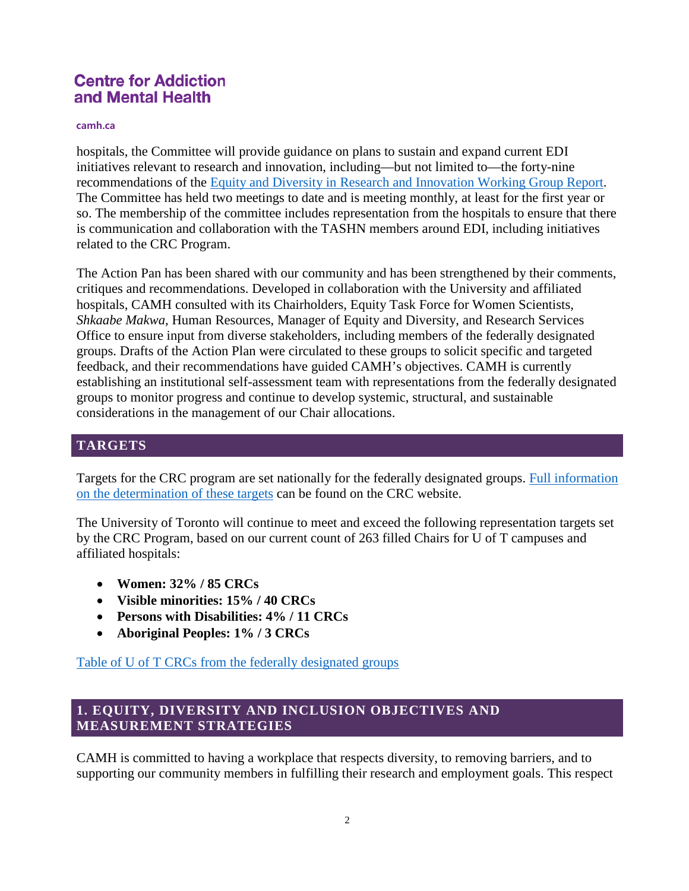#### **camh.ca**

hospitals, the Committee will provide guidance on plans to sustain and expand current EDI initiatives relevant to research and innovation, including—but not limited to—the forty-nine recommendations of the [Equity and Diversity in Research and Innovation Working Group Report.](http://www.research.utoronto.ca/edri/) The Committee has held two meetings to date and is meeting monthly, at least for the first year or so. The membership of the committee includes representation from the hospitals to ensure that there is communication and collaboration with the TASHN members around EDI, including initiatives related to the CRC Program.

The Action Pan has been shared with our community and has been strengthened by their comments, critiques and recommendations. Developed in collaboration with the University and affiliated hospitals, CAMH consulted with its Chairholders, Equity Task Force for Women Scientists, *Shkaabe Makwa,* Human Resources, Manager of Equity and Diversity, and Research Services Office to ensure input from diverse stakeholders, including members of the federally designated groups. Drafts of the Action Plan were circulated to these groups to solicit specific and targeted feedback, and their recommendations have guided CAMH's objectives. CAMH is currently establishing an institutional self-assessment team with representations from the federally designated groups to monitor progress and continue to develop systemic, structural, and sustainable considerations in the management of our Chair allocations.

### **TARGETS**

Targets for the CRC program are set nationally for the federally designated groups. [Full information](http://www.chairs-chaires.gc.ca/program-programme/equity-equite/targets-cibles-eng.aspx)  [on the determination of these targets](http://www.chairs-chaires.gc.ca/program-programme/equity-equite/targets-cibles-eng.aspx) can be found on the CRC website.

The University of Toronto will continue to meet and exceed the following representation targets set by the CRC Program, based on our current count of 263 filled Chairs for U of T campuses and affiliated hospitals:

- **Women: 32% / 85 CRCs**
- **Visible minorities: 15% / 40 CRCs**
- **Persons with Disabilities: 4% / 11 CRCs**
- **Aboriginal Peoples: 1% / 3 CRCs**

[Table of U of T CRCs from the federally designated groups](http://www.research.utoronto.ca/crc/#designatedGroups)

## **1. EQUITY, DIVERSITY AND INCLUSION OBJECTIVES AND MEASUREMENT STRATEGIES**

CAMH is committed to having a workplace that respects diversity, to removing barriers, and to supporting our community members in fulfilling their research and employment goals. This respect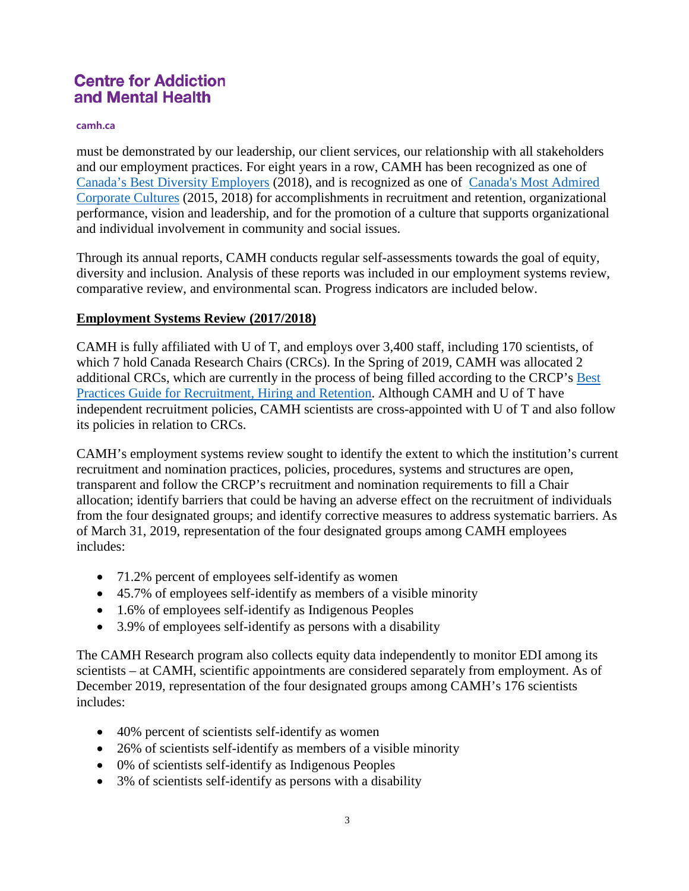#### **camh.ca**

must be demonstrated by our leadership, our client services, our relationship with all stakeholders and our employment practices. For eight years in a row, CAMH has been recognized as one of [Canada's Best Diversity Employers](https://content.eluta.ca/top-employer-centre-for-addiction-and-mental-health) (2018), and is recognized as one of [Canada's Most Admired](https://www.camh.ca/en/camh-news-and-stories/camh-named-one-of-canadas-most-admired-corporate-cultures)  [Corporate Cultures](https://www.camh.ca/en/camh-news-and-stories/camh-named-one-of-canadas-most-admired-corporate-cultures) (2015, 2018) for accomplishments in recruitment and retention, organizational performance, vision and leadership, and for the promotion of a culture that supports organizational and individual involvement in community and social issues.

Through its annual reports, CAMH conducts regular self-assessments towards the goal of equity, diversity and inclusion. Analysis of these reports was included in our employment systems review, comparative review, and environmental scan. Progress indicators are included below.

## **Employment Systems Review (2017/2018)**

CAMH is fully affiliated with U of T, and employs over 3,400 staff, including 170 scientists, of which 7 hold Canada Research Chairs (CRCs). In the Spring of 2019, CAMH was allocated 2 additional CRCs, which are currently in the process of being filled according to the CRCP's [Best](https://www.chairs-chaires.gc.ca/program-programme/equity-equite/best_practices-pratiques_examplaires-eng.aspx)  [Practices Guide for Recruitment, Hiring and Retention.](https://www.chairs-chaires.gc.ca/program-programme/equity-equite/best_practices-pratiques_examplaires-eng.aspx) Although CAMH and U of T have independent recruitment policies, CAMH scientists are cross-appointed with U of T and also follow its policies in relation to CRCs.

CAMH's employment systems review sought to identify the extent to which the institution's current recruitment and nomination practices, policies, procedures, systems and structures are open, transparent and follow the CRCP's recruitment and nomination requirements to fill a Chair allocation; identify barriers that could be having an adverse effect on the recruitment of individuals from the four designated groups; and identify corrective measures to address systematic barriers. As of March 31, 2019, representation of the four designated groups among CAMH employees includes:

- 71.2% percent of employees self-identify as women
- 45.7% of employees self-identify as members of a visible minority
- 1.6% of employees self-identify as Indigenous Peoples
- 3.9% of employees self-identify as persons with a disability

The CAMH Research program also collects equity data independently to monitor EDI among its scientists – at CAMH, scientific appointments are considered separately from employment. As of December 2019, representation of the four designated groups among CAMH's 176 scientists includes:

- 40% percent of scientists self-identify as women
- 26% of scientists self-identify as members of a visible minority
- 0% of scientists self-identify as Indigenous Peoples
- 3% of scientists self-identify as persons with a disability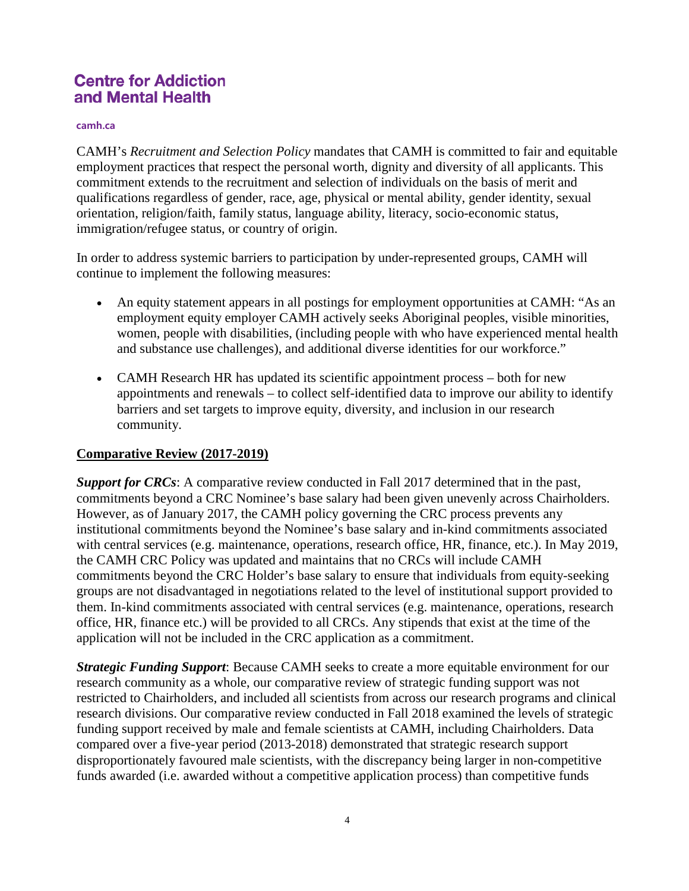#### **camh.ca**

CAMH's *Recruitment and Selection Policy* mandates that CAMH is committed to fair and equitable employment practices that respect the personal worth, dignity and diversity of all applicants. This commitment extends to the recruitment and selection of individuals on the basis of merit and qualifications regardless of gender, race, age, physical or mental ability, gender identity, sexual orientation, religion/faith, family status, language ability, literacy, socio-economic status, immigration/refugee status, or country of origin.

In order to address systemic barriers to participation by under-represented groups, CAMH will continue to implement the following measures:

- An equity statement appears in all postings for employment opportunities at CAMH: "As an employment equity employer CAMH actively seeks Aboriginal peoples, visible minorities, women, people with disabilities, (including people with who have experienced mental health and substance use challenges), and additional diverse identities for our workforce."
- CAMH Research HR has updated its scientific appointment process both for new appointments and renewals – to collect self-identified data to improve our ability to identify barriers and set targets to improve equity, diversity, and inclusion in our research community.

### **Comparative Review (2017-2019)**

*Support for CRCs*: A comparative review conducted in Fall 2017 determined that in the past, commitments beyond a CRC Nominee's base salary had been given unevenly across Chairholders. However, as of January 2017, the CAMH policy governing the CRC process prevents any institutional commitments beyond the Nominee's base salary and in-kind commitments associated with central services (e.g. maintenance, operations, research office, HR, finance, etc.). In May 2019, the CAMH CRC Policy was updated and maintains that no CRCs will include CAMH commitments beyond the CRC Holder's base salary to ensure that individuals from equity-seeking groups are not disadvantaged in negotiations related to the level of institutional support provided to them. In-kind commitments associated with central services (e.g. maintenance, operations, research office, HR, finance etc.) will be provided to all CRCs. Any stipends that exist at the time of the application will not be included in the CRC application as a commitment.

*Strategic Funding Support*: Because CAMH seeks to create a more equitable environment for our research community as a whole, our comparative review of strategic funding support was not restricted to Chairholders, and included all scientists from across our research programs and clinical research divisions. Our comparative review conducted in Fall 2018 examined the levels of strategic funding support received by male and female scientists at CAMH, including Chairholders. Data compared over a five-year period (2013-2018) demonstrated that strategic research support disproportionately favoured male scientists, with the discrepancy being larger in non-competitive funds awarded (i.e. awarded without a competitive application process) than competitive funds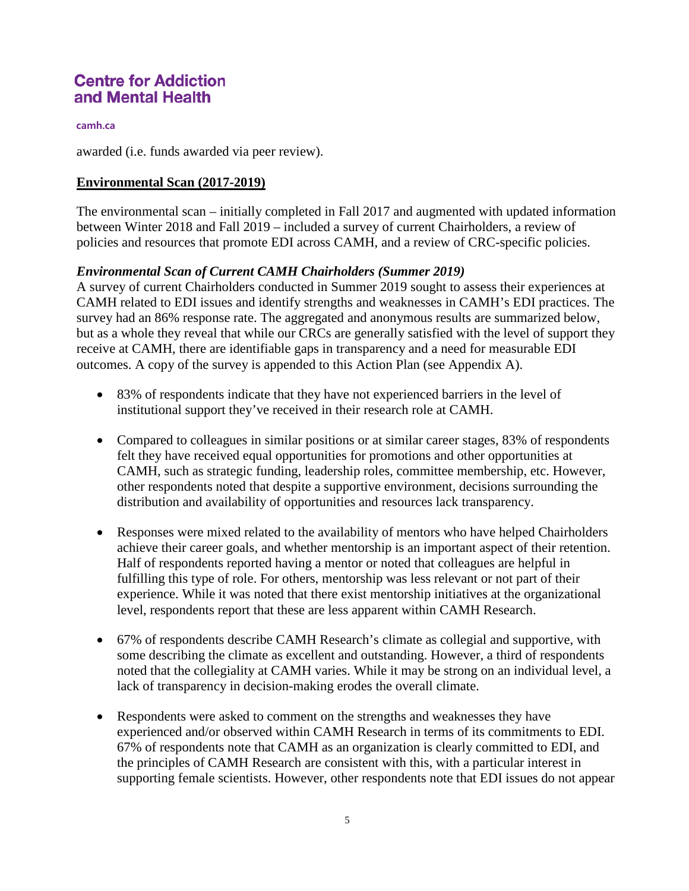#### **camh.ca**

awarded (i.e. funds awarded via peer review).

### **Environmental Scan (2017-2019)**

The environmental scan – initially completed in Fall 2017 and augmented with updated information between Winter 2018 and Fall 2019 – included a survey of current Chairholders, a review of policies and resources that promote EDI across CAMH, and a review of CRC-specific policies.

### *Environmental Scan of Current CAMH Chairholders (Summer 2019)*

A survey of current Chairholders conducted in Summer 2019 sought to assess their experiences at CAMH related to EDI issues and identify strengths and weaknesses in CAMH's EDI practices. The survey had an 86% response rate. The aggregated and anonymous results are summarized below, but as a whole they reveal that while our CRCs are generally satisfied with the level of support they receive at CAMH, there are identifiable gaps in transparency and a need for measurable EDI outcomes. A copy of the survey is appended to this Action Plan (see Appendix A).

- 83% of respondents indicate that they have not experienced barriers in the level of institutional support they've received in their research role at CAMH.
- Compared to colleagues in similar positions or at similar career stages, 83% of respondents felt they have received equal opportunities for promotions and other opportunities at CAMH, such as strategic funding, leadership roles, committee membership, etc. However, other respondents noted that despite a supportive environment, decisions surrounding the distribution and availability of opportunities and resources lack transparency.
- Responses were mixed related to the availability of mentors who have helped Chairholders achieve their career goals, and whether mentorship is an important aspect of their retention. Half of respondents reported having a mentor or noted that colleagues are helpful in fulfilling this type of role. For others, mentorship was less relevant or not part of their experience. While it was noted that there exist mentorship initiatives at the organizational level, respondents report that these are less apparent within CAMH Research.
- 67% of respondents describe CAMH Research's climate as collegial and supportive, with some describing the climate as excellent and outstanding. However, a third of respondents noted that the collegiality at CAMH varies. While it may be strong on an individual level, a lack of transparency in decision-making erodes the overall climate.
- Respondents were asked to comment on the strengths and weaknesses they have experienced and/or observed within CAMH Research in terms of its commitments to EDI. 67% of respondents note that CAMH as an organization is clearly committed to EDI, and the principles of CAMH Research are consistent with this, with a particular interest in supporting female scientists. However, other respondents note that EDI issues do not appear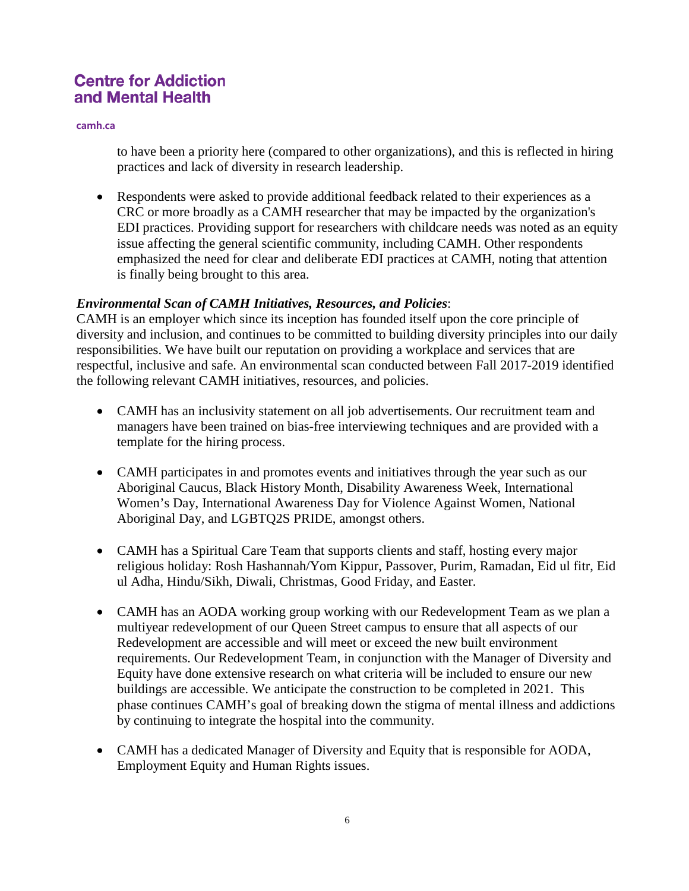**camh.ca**

to have been a priority here (compared to other organizations), and this is reflected in hiring practices and lack of diversity in research leadership.

• Respondents were asked to provide additional feedback related to their experiences as a CRC or more broadly as a CAMH researcher that may be impacted by the organization's EDI practices. Providing support for researchers with childcare needs was noted as an equity issue affecting the general scientific community, including CAMH. Other respondents emphasized the need for clear and deliberate EDI practices at CAMH, noting that attention is finally being brought to this area.

## *Environmental Scan of CAMH Initiatives, Resources, and Policies*:

CAMH is an employer which since its inception has founded itself upon the core principle of diversity and inclusion, and continues to be committed to building diversity principles into our daily responsibilities. We have built our reputation on providing a workplace and services that are respectful, inclusive and safe. An environmental scan conducted between Fall 2017-2019 identified the following relevant CAMH initiatives, resources, and policies.

- CAMH has an inclusivity statement on all job advertisements. Our recruitment team and managers have been trained on bias-free interviewing techniques and are provided with a template for the hiring process.
- CAMH participates in and promotes events and initiatives through the year such as our Aboriginal Caucus, Black History Month, Disability Awareness Week, International Women's Day, International Awareness Day for Violence Against Women, National Aboriginal Day, and LGBTQ2S PRIDE, amongst others.
- CAMH has a Spiritual Care Team that supports clients and staff, hosting every major religious holiday: Rosh Hashannah/Yom Kippur, Passover, Purim, Ramadan, Eid ul fitr, Eid ul Adha, Hindu/Sikh, Diwali, Christmas, Good Friday, and Easter.
- CAMH has an AODA working group working with our Redevelopment Team as we plan a multiyear redevelopment of our Queen Street campus to ensure that all aspects of our Redevelopment are accessible and will meet or exceed the new built environment requirements. Our Redevelopment Team, in conjunction with the Manager of Diversity and Equity have done extensive research on what criteria will be included to ensure our new buildings are accessible. We anticipate the construction to be completed in 2021. This phase continues CAMH's goal of breaking down the stigma of mental illness and addictions by continuing to integrate the hospital into the community.
- CAMH has a dedicated Manager of Diversity and Equity that is responsible for AODA, Employment Equity and Human Rights issues.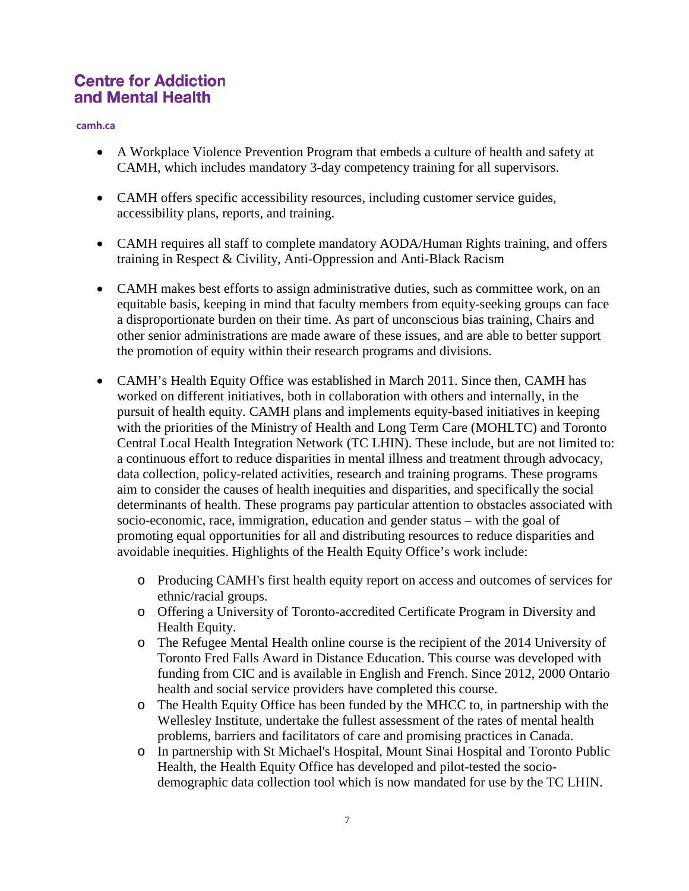#### **camh.ca**

- A Workplace Violence Prevention Program that embeds a culture of health and safety at CAMH, which includes mandatory 3-day competency training for all supervisors.
- CAMH offers specific accessibility resources, including customer service guides, accessibility plans, reports, and training.
- CAMH requires all staff to complete mandatory AODA/Human Rights training, and offers training in Respect & Civility, Anti-Oppression and Anti-Black Racism
- CAMH makes best efforts to assign administrative duties, such as committee work, on an equitable basis, keeping in mind that faculty members from equity-seeking groups can face a disproportionate burden on their time. As part of unconscious bias training, Chairs and other senior administrations are made aware of these issues, and are able to better support the promotion of equity within their research programs and divisions.
- CAMH's Health Equity Office was established in March 2011. Since then, CAMH has worked on different initiatives, both in collaboration with others and internally, in the pursuit of health equity. CAMH plans and implements equity-based initiatives in keeping with the priorities of the Ministry of Health and Long Term Care (MOHLTC) and Toronto Central Local Health Integration Network (TC LHIN). These include, but are not limited to: a continuous effort to reduce disparities in mental illness and treatment through advocacy, data collection, policy-related activities, research and training programs. These programs aim to consider the causes of health inequities and disparities, and specifically the social determinants of health. These programs pay particular attention to obstacles associated with socio-economic, race, immigration, education and gender status – with the goal of promoting equal opportunities for all and distributing resources to reduce disparities and avoidable inequities. Highlights of the Health Equity Office's work include:
	- o Producing CAMH's first health equity report on access and outcomes of services for ethnic/racial groups.
	- o Offering a University of Toronto-accredited Certificate Program in Diversity and Health Equity.
	- o The Refugee Mental Health online course is the recipient of the 2014 University of Toronto Fred Falls Award in Distance Education. This course was developed with funding from CIC and is available in English and French. Since 2012, 2000 Ontario health and social service providers have completed this course.
	- o The Health Equity Office has been funded by the MHCC to, in partnership with the Wellesley Institute, undertake the fullest assessment of the rates of mental health problems, barriers and facilitators of care and promising practices in Canada.
	- o In partnership with St Michael's Hospital, Mount Sinai Hospital and Toronto Public Health, the Health Equity Office has developed and pilot-tested the sociodemographic data collection tool which is now mandated for use by the TC LHIN.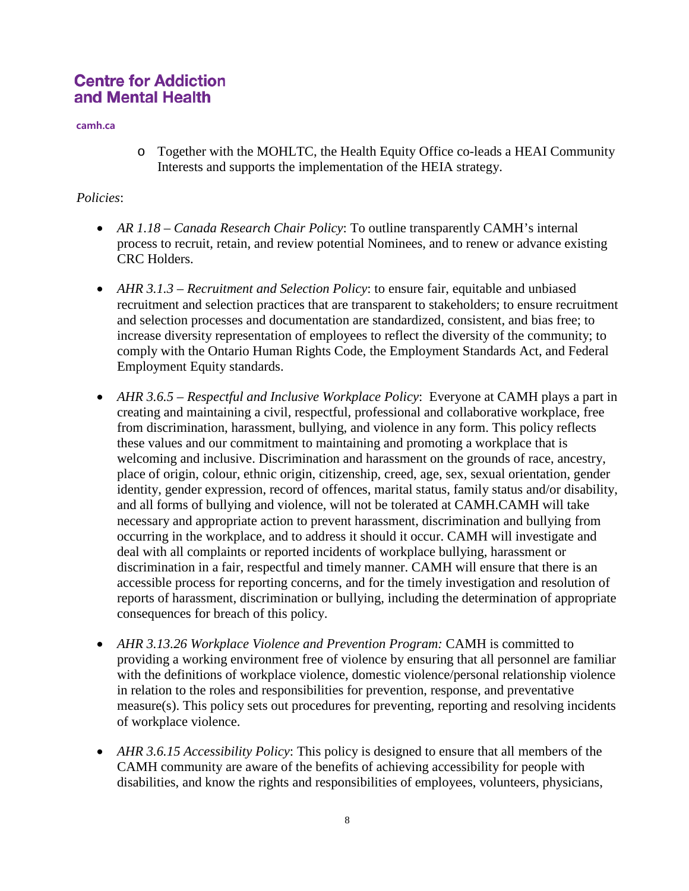**camh.ca**

o Together with the MOHLTC, the Health Equity Office co-leads a HEAI Community Interests and supports the implementation of the HEIA strategy.

## *Policies*:

- *AR 1.18 – Canada Research Chair Policy*: To outline transparently CAMH's internal process to recruit, retain, and review potential Nominees, and to renew or advance existing CRC Holders.
- *AHR 3.1.3 Recruitment and Selection Policy*: to ensure fair, equitable and unbiased recruitment and selection practices that are transparent to stakeholders; to ensure recruitment and selection processes and documentation are standardized, consistent, and bias free; to increase diversity representation of employees to reflect the diversity of the community; to comply with the Ontario Human Rights Code, the Employment Standards Act, and Federal Employment Equity standards.
- *AHR 3.6.5 – Respectful and Inclusive Workplace Policy*: Everyone at CAMH plays a part in creating and maintaining a civil, respectful, professional and collaborative workplace, free from discrimination, harassment, bullying, and violence in any form. This policy reflects these values and our commitment to maintaining and promoting a workplace that is welcoming and inclusive. Discrimination and harassment on the grounds of race, ancestry, place of origin, colour, ethnic origin, citizenship, creed, age, sex, sexual orientation, gender identity, gender expression, record of offences, marital status, family status and/or disability, and all forms of bullying and violence, will not be tolerated at CAMH.CAMH will take necessary and appropriate action to prevent harassment, discrimination and bullying from occurring in the workplace, and to address it should it occur. CAMH will investigate and deal with all complaints or reported incidents of workplace bullying, harassment or discrimination in a fair, respectful and timely manner. CAMH will ensure that there is an accessible process for reporting concerns, and for the timely investigation and resolution of reports of harassment, discrimination or bullying, including the determination of appropriate consequences for breach of this policy.
- *AHR 3.13.26 Workplace Violence and Prevention Program:* CAMH is committed to providing a working environment free of violence by ensuring that all personnel are familiar with the definitions of workplace violence, domestic violence/personal relationship violence in relation to the roles and responsibilities for prevention, response, and preventative measure(s). This policy sets out procedures for preventing, reporting and resolving incidents of workplace violence.
- *AHR 3.6.15 Accessibility Policy*: This policy is designed to ensure that all members of the CAMH community are aware of the benefits of achieving accessibility for people with disabilities, and know the rights and responsibilities of employees, volunteers, physicians,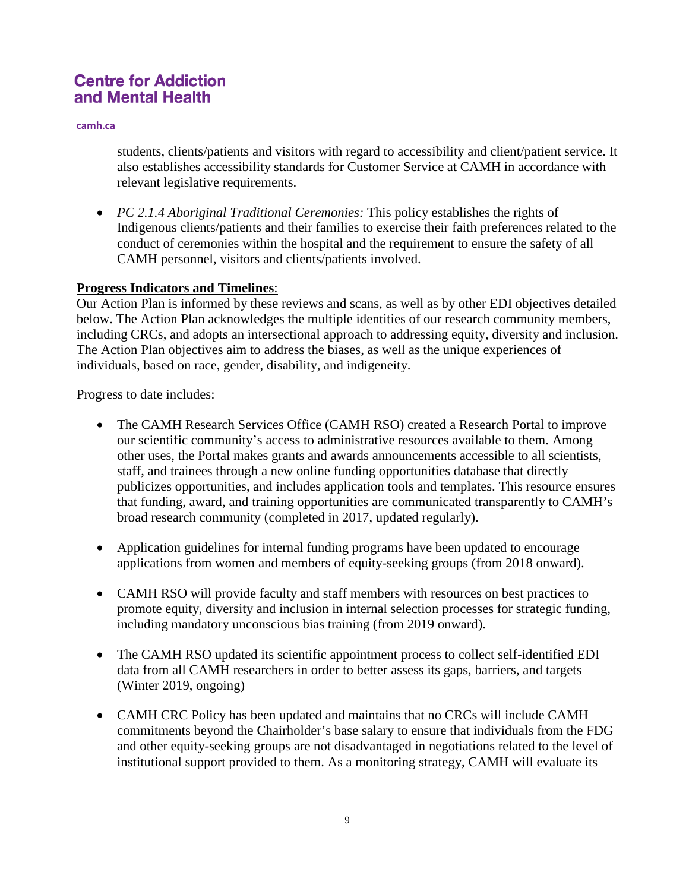**camh.ca**

students, clients/patients and visitors with regard to accessibility and client/patient service. It also establishes accessibility standards for Customer Service at CAMH in accordance with relevant legislative requirements.

• *PC 2.1.4 Aboriginal Traditional Ceremonies:* This policy establishes the rights of Indigenous clients/patients and their families to exercise their faith preferences related to the conduct of ceremonies within the hospital and the requirement to ensure the safety of all CAMH personnel, visitors and clients/patients involved.

### **Progress Indicators and Timelines**:

Our Action Plan is informed by these reviews and scans, as well as by other EDI objectives detailed below. The Action Plan acknowledges the multiple identities of our research community members, including CRCs, and adopts an intersectional approach to addressing equity, diversity and inclusion. The Action Plan objectives aim to address the biases, as well as the unique experiences of individuals, based on race, gender, disability, and indigeneity.

Progress to date includes:

- The CAMH Research Services Office (CAMH RSO) created a Research Portal to improve our scientific community's access to administrative resources available to them. Among other uses, the Portal makes grants and awards announcements accessible to all scientists, staff, and trainees through a new online funding opportunities database that directly publicizes opportunities, and includes application tools and templates. This resource ensures that funding, award, and training opportunities are communicated transparently to CAMH's broad research community (completed in 2017, updated regularly).
- Application guidelines for internal funding programs have been updated to encourage applications from women and members of equity-seeking groups (from 2018 onward).
- CAMH RSO will provide faculty and staff members with resources on best practices to promote equity, diversity and inclusion in internal selection processes for strategic funding, including mandatory unconscious bias training (from 2019 onward).
- The CAMH RSO updated its scientific appointment process to collect self-identified EDI data from all CAMH researchers in order to better assess its gaps, barriers, and targets (Winter 2019, ongoing)
- CAMH CRC Policy has been updated and maintains that no CRCs will include CAMH commitments beyond the Chairholder's base salary to ensure that individuals from the FDG and other equity-seeking groups are not disadvantaged in negotiations related to the level of institutional support provided to them. As a monitoring strategy, CAMH will evaluate its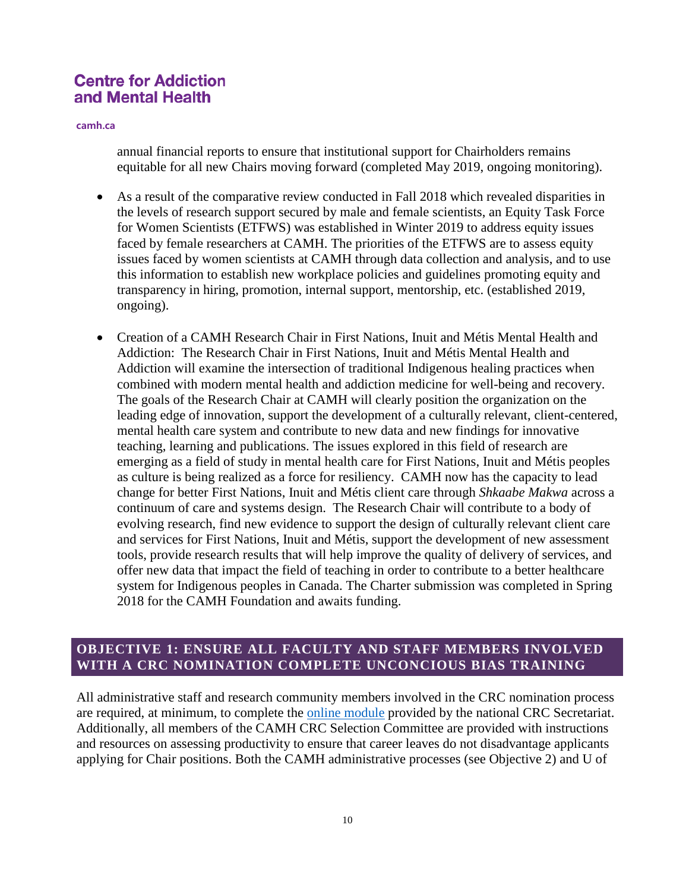**camh.ca**

annual financial reports to ensure that institutional support for Chairholders remains equitable for all new Chairs moving forward (completed May 2019, ongoing monitoring).

- As a result of the comparative review conducted in Fall 2018 which revealed disparities in the levels of research support secured by male and female scientists, an Equity Task Force for Women Scientists (ETFWS) was established in Winter 2019 to address equity issues faced by female researchers at CAMH. The priorities of the ETFWS are to assess equity issues faced by women scientists at CAMH through data collection and analysis, and to use this information to establish new workplace policies and guidelines promoting equity and transparency in hiring, promotion, internal support, mentorship, etc. (established 2019, ongoing).
- Creation of a CAMH Research Chair in First Nations, Inuit and Métis Mental Health and Addiction: The Research Chair in First Nations, Inuit and Métis Mental Health and Addiction will examine the intersection of traditional Indigenous healing practices when combined with modern mental health and addiction medicine for well-being and recovery. The goals of the Research Chair at CAMH will clearly position the organization on the leading edge of innovation, support the development of a culturally relevant, client-centered, mental health care system and contribute to new data and new findings for innovative teaching, learning and publications. The issues explored in this field of research are emerging as a field of study in mental health care for First Nations, Inuit and Métis peoples as culture is being realized as a force for resiliency. CAMH now has the capacity to lead change for better First Nations, Inuit and Métis client care through *Shkaabe Makwa* across a continuum of care and systems design. The Research Chair will contribute to a body of evolving research, find new evidence to support the design of culturally relevant client care and services for First Nations, Inuit and Métis, support the development of new assessment tools, provide research results that will help improve the quality of delivery of services, and offer new data that impact the field of teaching in order to contribute to a better healthcare system for Indigenous peoples in Canada. The Charter submission was completed in Spring 2018 for the CAMH Foundation and awaits funding.

## **OBJECTIVE 1: ENSURE ALL FACULTY AND STAFF MEMBERS INVOLVED WITH A CRC NOMINATION COMPLETE UNCONCIOUS BIAS TRAINING**

All administrative staff and research community members involved in the CRC nomination process are required, at minimum, to complete the [online module](http://www.chairs-chaires.gc.ca/program-programme/equity-equite/bias/module-eng.aspx?pedisable=false) provided by the national CRC Secretariat. Additionally, all members of the CAMH CRC Selection Committee are provided with instructions and resources on assessing productivity to ensure that career leaves do not disadvantage applicants applying for Chair positions. Both the CAMH administrative processes (see Objective 2) and U of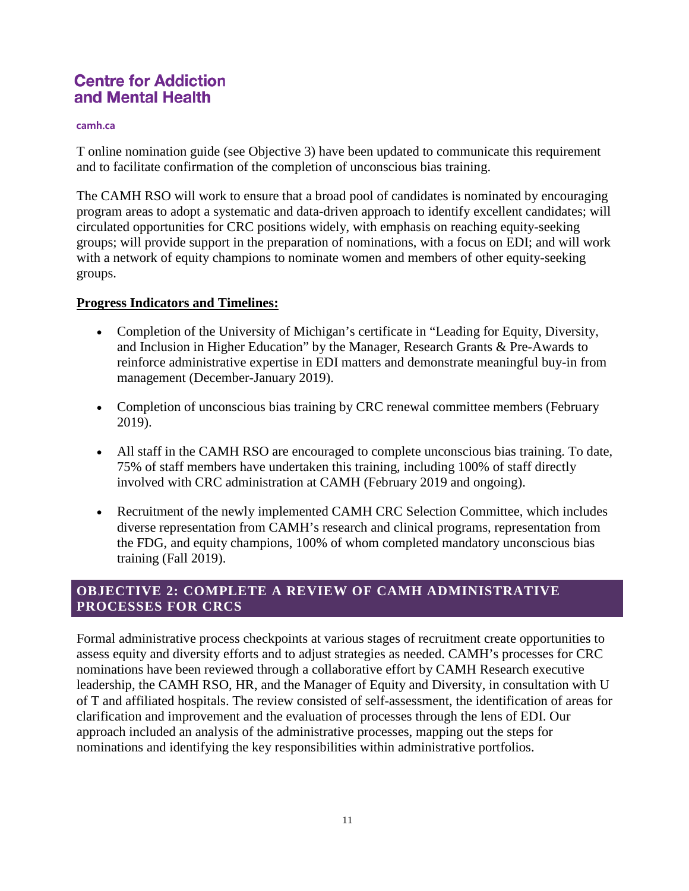#### **camh.ca**

T online nomination guide (see Objective 3) have been updated to communicate this requirement and to facilitate confirmation of the completion of unconscious bias training.

The CAMH RSO will work to ensure that a broad pool of candidates is nominated by encouraging program areas to adopt a systematic and data-driven approach to identify excellent candidates; will circulated opportunities for CRC positions widely, with emphasis on reaching equity-seeking groups; will provide support in the preparation of nominations, with a focus on EDI; and will work with a network of equity champions to nominate women and members of other equity-seeking groups.

### **Progress Indicators and Timelines:**

- Completion of the University of Michigan's certificate in "Leading for Equity, Diversity, and Inclusion in Higher Education" by the Manager, Research Grants & Pre-Awards to reinforce administrative expertise in EDI matters and demonstrate meaningful buy-in from management (December-January 2019).
- Completion of unconscious bias training by CRC renewal committee members (February 2019).
- All staff in the CAMH RSO are encouraged to complete unconscious bias training. To date, 75% of staff members have undertaken this training, including 100% of staff directly involved with CRC administration at CAMH (February 2019 and ongoing).
- Recruitment of the newly implemented CAMH CRC Selection Committee, which includes diverse representation from CAMH's research and clinical programs, representation from the FDG, and equity champions, 100% of whom completed mandatory unconscious bias training (Fall 2019).

## **OBJECTIVE 2: COMPLETE A REVIEW OF CAMH ADMINISTRATIVE PROCESSES FOR CRCS**

Formal administrative process checkpoints at various stages of recruitment create opportunities to assess equity and diversity efforts and to adjust strategies as needed. CAMH's processes for CRC nominations have been reviewed through a collaborative effort by CAMH Research executive leadership, the CAMH RSO, HR, and the Manager of Equity and Diversity, in consultation with U of T and affiliated hospitals. The review consisted of self-assessment, the identification of areas for clarification and improvement and the evaluation of processes through the lens of EDI. Our approach included an analysis of the administrative processes, mapping out the steps for nominations and identifying the key responsibilities within administrative portfolios.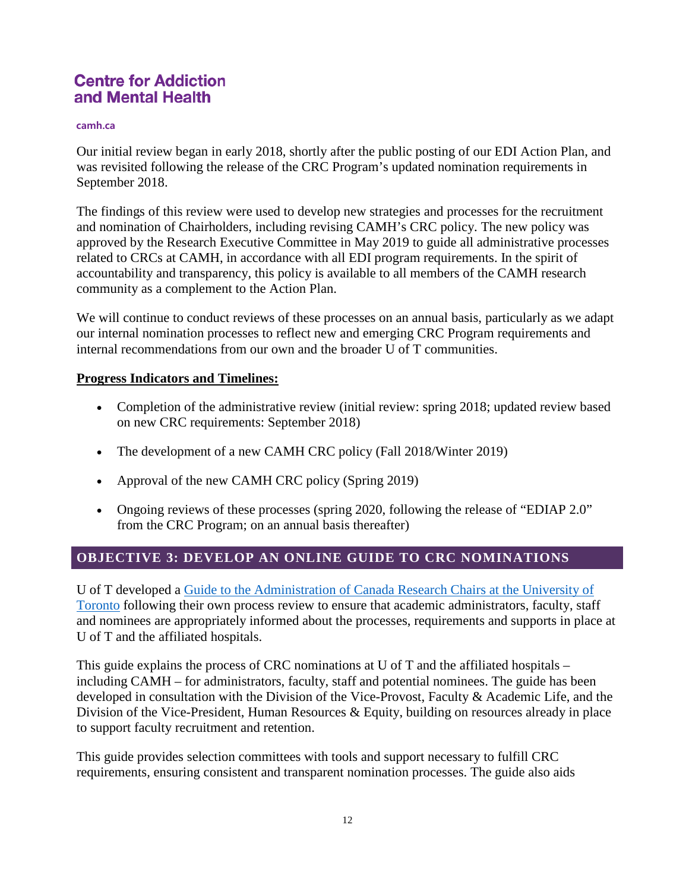#### **camh.ca**

Our initial review began in early 2018, shortly after the public posting of our EDI Action Plan, and was revisited following the release of the CRC Program's updated nomination requirements in September 2018.

The findings of this review were used to develop new strategies and processes for the recruitment and nomination of Chairholders, including revising CAMH's CRC policy. The new policy was approved by the Research Executive Committee in May 2019 to guide all administrative processes related to CRCs at CAMH, in accordance with all EDI program requirements. In the spirit of accountability and transparency, this policy is available to all members of the CAMH research community as a complement to the Action Plan.

We will continue to conduct reviews of these processes on an annual basis, particularly as we adapt our internal nomination processes to reflect new and emerging CRC Program requirements and internal recommendations from our own and the broader U of T communities.

#### **Progress Indicators and Timelines:**

- Completion of the administrative review (initial review: spring 2018; updated review based on new CRC requirements: September 2018)
- The development of a new CAMH CRC policy (Fall 2018/Winter 2019)
- Approval of the new CAMH CRC policy (Spring 2019)
- Ongoing reviews of these processes (spring 2020, following the release of "EDIAP 2.0" from the CRC Program; on an annual basis thereafter)

## **OBJECTIVE 3: DEVELOP AN ONLINE GUIDE TO CRC NOMINATIONS**

U of T developed a [Guide to the Administration of Canada Research Chairs at the University of](http://www.research.utoronto.ca/crc/administration/)  [Toronto](http://www.research.utoronto.ca/crc/administration/) following their own process review to ensure that academic administrators, faculty, staff and nominees are appropriately informed about the processes, requirements and supports in place at U of T and the affiliated hospitals.

This guide explains the process of CRC nominations at U of T and the affiliated hospitals – including CAMH – for administrators, faculty, staff and potential nominees. The guide has been developed in consultation with the Division of the Vice-Provost, Faculty & Academic Life, and the Division of the Vice-President, Human Resources & Equity, building on resources already in place to support faculty recruitment and retention.

This guide provides selection committees with tools and support necessary to fulfill CRC requirements, ensuring consistent and transparent nomination processes. The guide also aids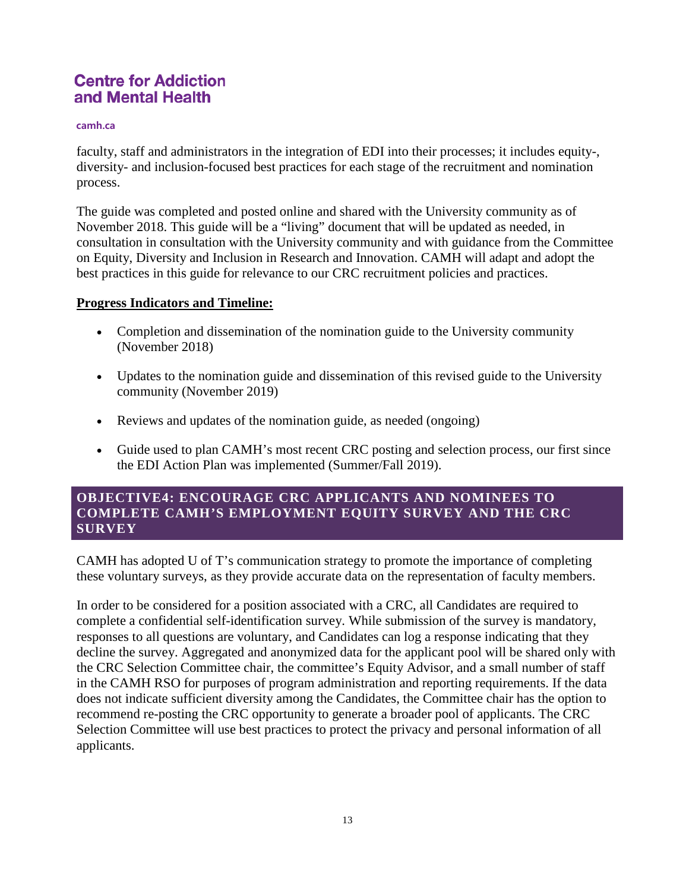#### **camh.ca**

faculty, staff and administrators in the integration of EDI into their processes; it includes equity-, diversity- and inclusion-focused best practices for each stage of the recruitment and nomination process.

The guide was completed and posted online and shared with the University community as of November 2018. This guide will be a "living" document that will be updated as needed, in consultation in consultation with the University community and with guidance from the Committee on Equity, Diversity and Inclusion in Research and Innovation. CAMH will adapt and adopt the best practices in this guide for relevance to our CRC recruitment policies and practices.

### **Progress Indicators and Timeline:**

- Completion and dissemination of the nomination guide to the University community (November 2018)
- Updates to the nomination guide and dissemination of this revised guide to the University community (November 2019)
- Reviews and updates of the nomination guide, as needed (ongoing)
- Guide used to plan CAMH's most recent CRC posting and selection process, our first since the EDI Action Plan was implemented (Summer/Fall 2019).

## **OBJECTIVE4: ENCOURAGE CRC APPLICANTS AND NOMINEES TO COMPLETE CAMH'S EMPLOYMENT EQUITY SURVEY AND THE CRC SURVEY**

CAMH has adopted U of T's communication strategy to promote the importance of completing these voluntary surveys, as they provide accurate data on the representation of faculty members.

In order to be considered for a position associated with a CRC, all Candidates are required to complete a confidential self-identification survey. While submission of the survey is mandatory, responses to all questions are voluntary, and Candidates can log a response indicating that they decline the survey. Aggregated and anonymized data for the applicant pool will be shared only with the CRC Selection Committee chair, the committee's Equity Advisor, and a small number of staff in the CAMH RSO for purposes of program administration and reporting requirements. If the data does not indicate sufficient diversity among the Candidates, the Committee chair has the option to recommend re-posting the CRC opportunity to generate a broader pool of applicants. The CRC Selection Committee will use best practices to protect the privacy and personal information of all applicants.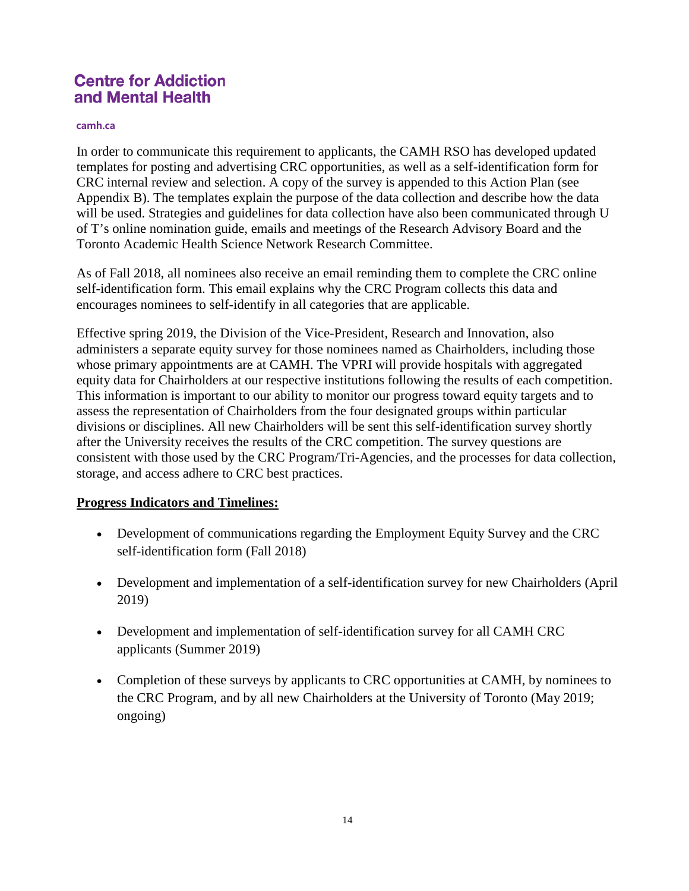#### **camh.ca**

In order to communicate this requirement to applicants, the CAMH RSO has developed updated templates for posting and advertising CRC opportunities, as well as a self-identification form for CRC internal review and selection. A copy of the survey is appended to this Action Plan (see Appendix B). The templates explain the purpose of the data collection and describe how the data will be used. Strategies and guidelines for data collection have also been communicated through U of T's online nomination guide, emails and meetings of the Research Advisory Board and the Toronto Academic Health Science Network Research Committee.

As of Fall 2018, all nominees also receive an email reminding them to complete the CRC online self-identification form. This email explains why the CRC Program collects this data and encourages nominees to self-identify in all categories that are applicable.

Effective spring 2019, the Division of the Vice-President, Research and Innovation, also administers a separate equity survey for those nominees named as Chairholders, including those whose primary appointments are at CAMH. The VPRI will provide hospitals with aggregated equity data for Chairholders at our respective institutions following the results of each competition. This information is important to our ability to monitor our progress toward equity targets and to assess the representation of Chairholders from the four designated groups within particular divisions or disciplines. All new Chairholders will be sent this self-identification survey shortly after the University receives the results of the CRC competition. The survey questions are consistent with those used by the CRC Program/Tri-Agencies, and the processes for data collection, storage, and access adhere to CRC best practices.

### **Progress Indicators and Timelines:**

- Development of communications regarding the Employment Equity Survey and the CRC self-identification form (Fall 2018)
- Development and implementation of a self-identification survey for new Chairholders (April 2019)
- Development and implementation of self-identification survey for all CAMH CRC applicants (Summer 2019)
- Completion of these surveys by applicants to CRC opportunities at CAMH, by nominees to the CRC Program, and by all new Chairholders at the University of Toronto (May 2019; ongoing)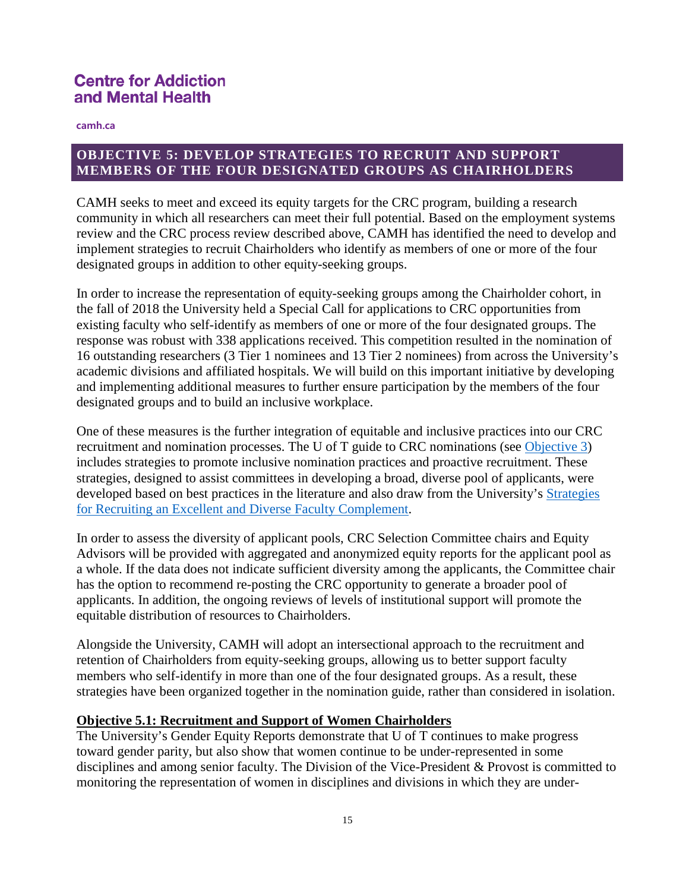**camh.ca**

## **OBJECTIVE 5: DEVELOP STRATEGIES TO RECRUIT AND SUPPORT MEMBERS OF THE FOUR DESIGNATED GROUPS AS CHAIRHOLDERS**

CAMH seeks to meet and exceed its equity targets for the CRC program, building a research community in which all researchers can meet their full potential. Based on the employment systems review and the CRC process review described above, CAMH has identified the need to develop and implement strategies to recruit Chairholders who identify as members of one or more of the four designated groups in addition to other equity-seeking groups.

In order to increase the representation of equity-seeking groups among the Chairholder cohort, in the fall of 2018 the University held a Special Call for applications to CRC opportunities from existing faculty who self-identify as members of one or more of the four designated groups. The response was robust with 338 applications received. This competition resulted in the nomination of 16 outstanding researchers (3 Tier 1 nominees and 13 Tier 2 nominees) from across the University's academic divisions and affiliated hospitals. We will build on this important initiative by developing and implementing additional measures to further ensure participation by the members of the four designated groups and to build an inclusive workplace.

One of these measures is the further integration of equitable and inclusive practices into our CRC recruitment and nomination processes. The U of T guide to CRC nominations (see [Objective 3\)](http://www.research.utoronto.ca/crc/ediap/#Objective3) includes strategies to promote inclusive nomination practices and proactive recruitment. These strategies, designed to assist committees in developing a broad, diverse pool of applicants, were developed based on best practices in the literature and also draw from the University's Strategies [for Recruiting an Excellent and Diverse Faculty Complement.](http://www.faculty.utoronto.ca/wp-content/uploads/2018/01/Recruiting-Excellent-Diverse-Faculty-Complement.pdf)

In order to assess the diversity of applicant pools, CRC Selection Committee chairs and Equity Advisors will be provided with aggregated and anonymized equity reports for the applicant pool as a whole. If the data does not indicate sufficient diversity among the applicants, the Committee chair has the option to recommend re-posting the CRC opportunity to generate a broader pool of applicants. In addition, the ongoing reviews of levels of institutional support will promote the equitable distribution of resources to Chairholders.

Alongside the University, CAMH will adopt an intersectional approach to the recruitment and retention of Chairholders from equity-seeking groups, allowing us to better support faculty members who self-identify in more than one of the four designated groups. As a result, these strategies have been organized together in the nomination guide, rather than considered in isolation.

### **Objective 5.1: Recruitment and Support of Women Chairholders**

The University's Gender Equity Reports demonstrate that U of T continues to make progress toward gender parity, but also show that women continue to be under-represented in some disciplines and among senior faculty. The Division of the Vice-President & Provost is committed to monitoring the representation of women in disciplines and divisions in which they are under-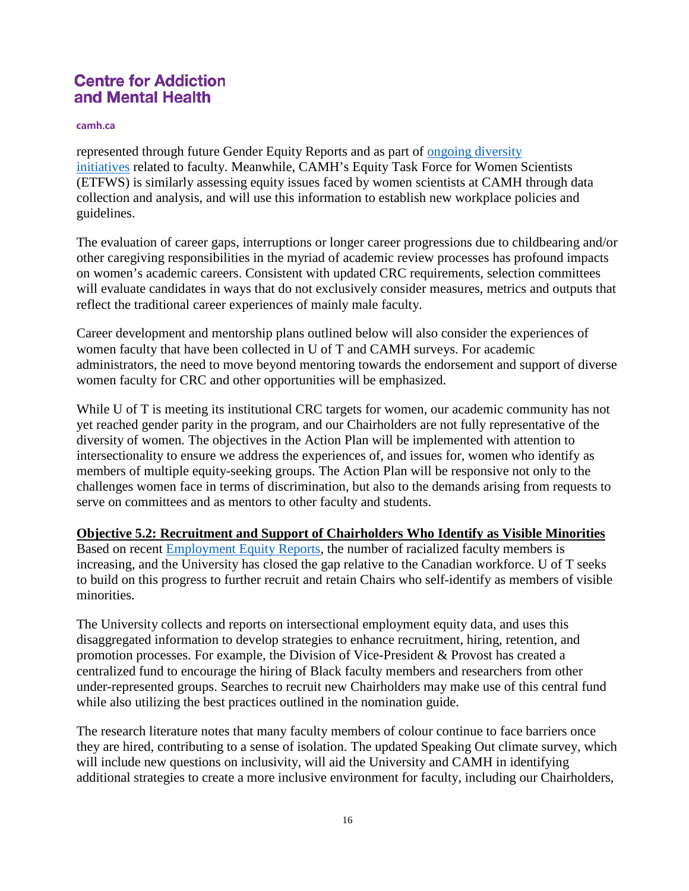#### **camh.ca**

represented through future Gender Equity Reports and as part of [ongoing diversity](http://www.research.utoronto.ca/crc/ediap/#Objective6)  [initiatives](http://www.research.utoronto.ca/crc/ediap/#Objective6) related to faculty. Meanwhile, CAMH's Equity Task Force for Women Scientists (ETFWS) is similarly assessing equity issues faced by women scientists at CAMH through data collection and analysis, and will use this information to establish new workplace policies and guidelines.

The evaluation of career gaps, interruptions or longer career progressions due to childbearing and/or other caregiving responsibilities in the myriad of academic review processes has profound impacts on women's academic careers. Consistent with updated CRC requirements, selection committees will evaluate candidates in ways that do not exclusively consider measures, metrics and outputs that reflect the traditional career experiences of mainly male faculty.

Career development and mentorship plans outlined below will also consider the experiences of women faculty that have been collected in U of T and CAMH surveys. For academic administrators, the need to move beyond mentoring towards the endorsement and support of diverse women faculty for CRC and other opportunities will be emphasized.

While U of T is meeting its institutional CRC targets for women, our academic community has not yet reached gender parity in the program, and our Chairholders are not fully representative of the diversity of women. The objectives in the Action Plan will be implemented with attention to intersectionality to ensure we address the experiences of, and issues for, women who identify as members of multiple equity-seeking groups. The Action Plan will be responsive not only to the challenges women face in terms of discrimination, but also to the demands arising from requests to serve on committees and as mentors to other faculty and students.

#### **Objective 5.2: Recruitment and Support of Chairholders Who Identify as Visible Minorities**

Based on recent [Employment Equity Reports,](http://reports.hrandequity.utoronto.ca/#equity) the number of racialized faculty members is increasing, and the University has closed the gap relative to the Canadian workforce. U of T seeks to build on this progress to further recruit and retain Chairs who self-identify as members of visible minorities.

The University collects and reports on intersectional employment equity data, and uses this disaggregated information to develop strategies to enhance recruitment, hiring, retention, and promotion processes. For example, the Division of Vice-President & Provost has created a centralized fund to encourage the hiring of Black faculty members and researchers from other under-represented groups. Searches to recruit new Chairholders may make use of this central fund while also utilizing the best practices outlined in the nomination guide.

The research literature notes that many faculty members of colour continue to face barriers once they are hired, contributing to a sense of isolation. The updated Speaking Out climate survey, which will include new questions on inclusivity, will aid the University and CAMH in identifying additional strategies to create a more inclusive environment for faculty, including our Chairholders,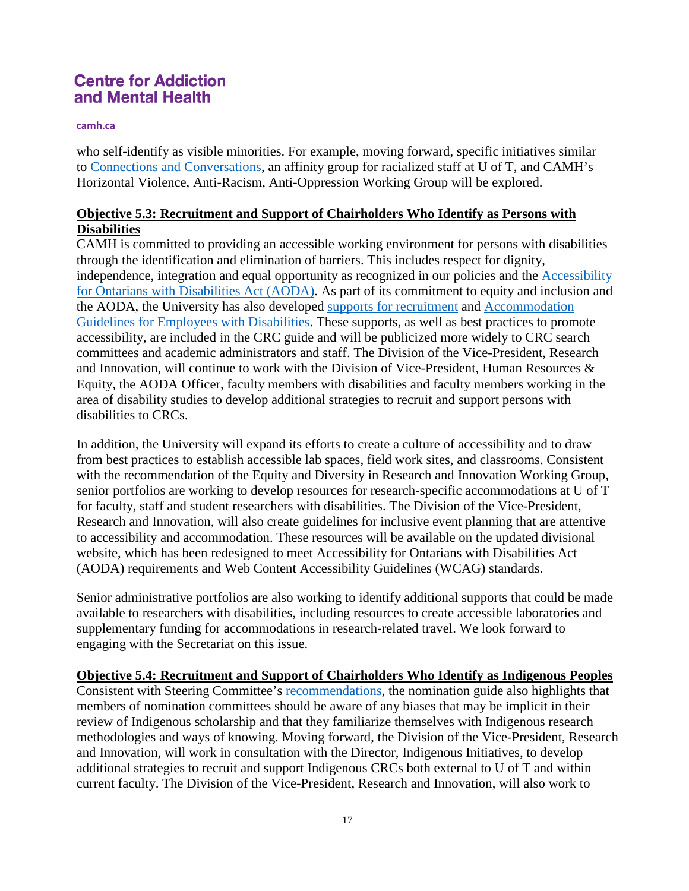#### **camh.ca**

who self-identify as visible minorities. For example, moving forward, specific initiatives similar to [Connections and Conversations,](http://www.hrandequity.utoronto.ca/news/2016-connections-conversations-affinity-group-racialized-u-t-staff-forms/) an affinity group for racialized staff at U of T, and CAMH's Horizontal Violence, Anti-Racism, Anti-Oppression Working Group will be explored.

## **Objective 5.3: Recruitment and Support of Chairholders Who Identify as Persons with Disabilities**

CAMH is committed to providing an accessible working environment for persons with disabilities through the identification and elimination of barriers. This includes respect for dignity, independence, integration and equal opportunity as recognized in our policies and the [Accessibility](http://aoda.hrandequity.utoronto.ca/)  [for Ontarians with Disabilities Act \(AODA\).](http://aoda.hrandequity.utoronto.ca/) As part of its commitment to equity and inclusion and the AODA, the University has also developed [supports for recruitment](http://aoda.hrandequity.utoronto.ca/employment/) and [Accommodation](http://well-being.hrandequity.utoronto.ca/accommodation-guidelines/)  [Guidelines for Employees with Disabilities.](http://well-being.hrandequity.utoronto.ca/accommodation-guidelines/) These supports, as well as best practices to promote accessibility, are included in the CRC guide and will be publicized more widely to CRC search committees and academic administrators and staff. The Division of the Vice-President, Research and Innovation, will continue to work with the Division of Vice-President, Human Resources & Equity, the AODA Officer, faculty members with disabilities and faculty members working in the area of disability studies to develop additional strategies to recruit and support persons with disabilities to CRCs.

In addition, the University will expand its efforts to create a culture of accessibility and to draw from best practices to establish accessible lab spaces, field work sites, and classrooms. Consistent with the recommendation of the Equity and Diversity in Research and Innovation Working Group, senior portfolios are working to develop resources for research-specific accommodations at U of T for faculty, staff and student researchers with disabilities. The Division of the Vice-President, Research and Innovation, will also create guidelines for inclusive event planning that are attentive to accessibility and accommodation. These resources will be available on the updated divisional website, which has been redesigned to meet Accessibility for Ontarians with Disabilities Act (AODA) requirements and Web Content Accessibility Guidelines (WCAG) standards.

Senior administrative portfolios are also working to identify additional supports that could be made available to researchers with disabilities, including resources to create accessible laboratories and supplementary funding for accommodations in research-related travel. We look forward to engaging with the Secretariat on this issue.

### **Objective 5.4: Recruitment and Support of Chairholders Who Identify as Indigenous Peoples**

Consistent with Steering Committee's [recommendations,](https://memos.provost.utoronto.ca/now-available-the-final-report-of-the-steering-committee-for-the-u-of-t-response-to-the-truth-reconciliation-commission-of-canada-pdadc-51/) the nomination guide also highlights that members of nomination committees should be aware of any biases that may be implicit in their review of Indigenous scholarship and that they familiarize themselves with Indigenous research methodologies and ways of knowing. Moving forward, the Division of the Vice-President, Research and Innovation, will work in consultation with the Director, Indigenous Initiatives, to develop additional strategies to recruit and support Indigenous CRCs both external to U of T and within current faculty. The Division of the Vice-President, Research and Innovation, will also work to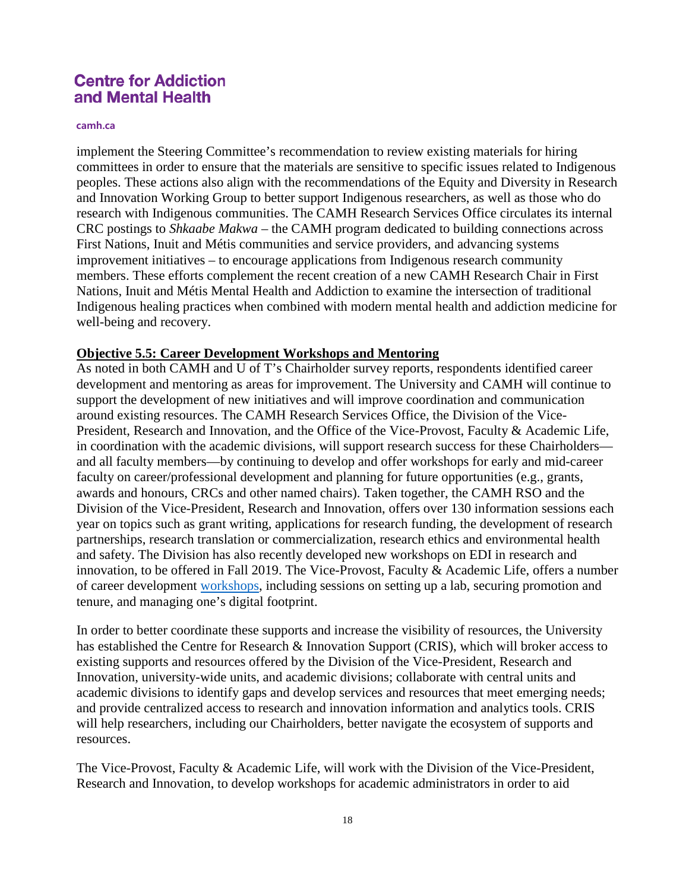#### **camh.ca**

implement the Steering Committee's recommendation to review existing materials for hiring committees in order to ensure that the materials are sensitive to specific issues related to Indigenous peoples. These actions also align with the recommendations of the Equity and Diversity in Research and Innovation Working Group to better support Indigenous researchers, as well as those who do research with Indigenous communities. The CAMH Research Services Office circulates its internal CRC postings to *Shkaabe Makwa* – the CAMH program dedicated to building connections across First Nations, Inuit and Métis communities and service providers, and advancing systems improvement initiatives – to encourage applications from Indigenous research community members. These efforts complement the recent creation of a new CAMH Research Chair in First Nations, Inuit and Métis Mental Health and Addiction to examine the intersection of traditional Indigenous healing practices when combined with modern mental health and addiction medicine for well-being and recovery.

#### **Objective 5.5: Career Development Workshops and Mentoring**

As noted in both CAMH and U of T's Chairholder survey reports, respondents identified career development and mentoring as areas for improvement. The University and CAMH will continue to support the development of new initiatives and will improve coordination and communication around existing resources. The CAMH Research Services Office, the Division of the Vice-President, Research and Innovation, and the Office of the Vice-Provost, Faculty & Academic Life, in coordination with the academic divisions, will support research success for these Chairholders and all faculty members—by continuing to develop and offer workshops for early and mid-career faculty on career/professional development and planning for future opportunities (e.g., grants, awards and honours, CRCs and other named chairs). Taken together, the CAMH RSO and the Division of the Vice-President, Research and Innovation, offers over 130 information sessions each year on topics such as grant writing, applications for research funding, the development of research partnerships, research translation or commercialization, research ethics and environmental health and safety. The Division has also recently developed new workshops on EDI in research and innovation, to be offered in Fall 2019. The Vice-Provost, Faculty & Academic Life, offers a number of career development [workshops,](http://www.faculty.utoronto.ca/programming/) including sessions on setting up a lab, securing promotion and tenure, and managing one's digital footprint.

In order to better coordinate these supports and increase the visibility of resources, the University has established the Centre for Research & Innovation Support (CRIS), which will broker access to existing supports and resources offered by the Division of the Vice-President, Research and Innovation, university-wide units, and academic divisions; collaborate with central units and academic divisions to identify gaps and develop services and resources that meet emerging needs; and provide centralized access to research and innovation information and analytics tools. CRIS will help researchers, including our Chairholders, better navigate the ecosystem of supports and resources.

The Vice-Provost, Faculty & Academic Life, will work with the Division of the Vice-President, Research and Innovation, to develop workshops for academic administrators in order to aid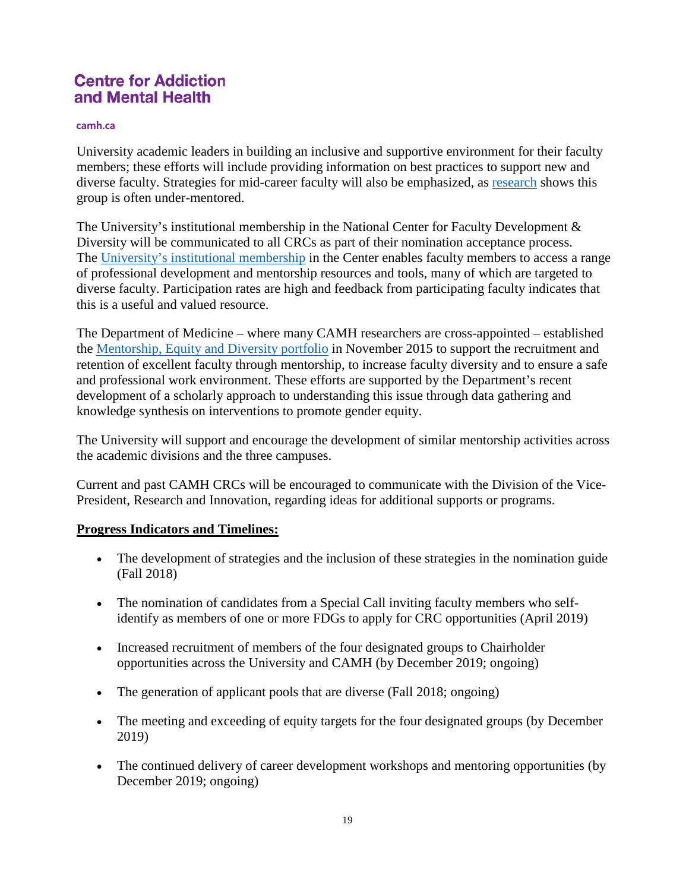#### **camh.ca**

University academic leaders in building an inclusive and supportive environment for their faculty members; these efforts will include providing information on best practices to support new and diverse faculty. Strategies for mid-career faculty will also be emphasized, as [research](http://www.faculty.utoronto.ca/reports/coache-2012/tenure-promotion/) shows this group is often under-mentored.

The University's institutional membership in the National Center for Faculty Development & Diversity will be communicated to all CRCs as part of their nomination acceptance process. The [University's institutional membership](http://www.faculty.utoronto.ca/resources/enhancing-diversity/) in the Center enables faculty members to access a range of professional development and mentorship resources and tools, many of which are targeted to diverse faculty. Participation rates are high and feedback from participating faculty indicates that this is a useful and valued resource.

The Department of Medicine – where many CAMH researchers are cross-appointed – established the [Mentorship, Equity and Diversity portfolio](http://www.deptmedicine.utoronto.ca/vice-chair-mentorship-equity-diversity) in November 2015 to support the recruitment and retention of excellent faculty through mentorship, to increase faculty diversity and to ensure a safe and professional work environment. These efforts are supported by the Department's recent development of a scholarly approach to understanding this issue through data gathering and knowledge synthesis on interventions to promote gender equity.

The University will support and encourage the development of similar mentorship activities across the academic divisions and the three campuses.

Current and past CAMH CRCs will be encouraged to communicate with the Division of the Vice-President, Research and Innovation, regarding ideas for additional supports or programs.

### **Progress Indicators and Timelines:**

- The development of strategies and the inclusion of these strategies in the nomination guide (Fall 2018)
- The nomination of candidates from a Special Call inviting faculty members who selfidentify as members of one or more FDGs to apply for CRC opportunities (April 2019)
- Increased recruitment of members of the four designated groups to Chairholder opportunities across the University and CAMH (by December 2019; ongoing)
- The generation of applicant pools that are diverse (Fall 2018; ongoing)
- The meeting and exceeding of equity targets for the four designated groups (by December 2019)
- The continued delivery of career development workshops and mentoring opportunities (by December 2019; ongoing)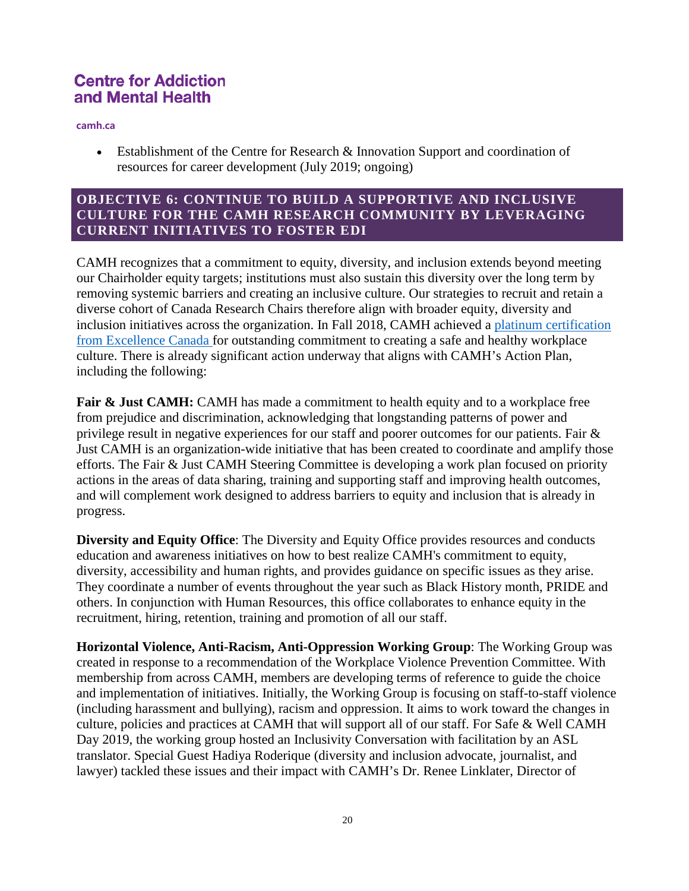**camh.ca**

• Establishment of the Centre for Research & Innovation Support and coordination of resources for career development (July 2019; ongoing)

### **OBJECTIVE 6: CONTINUE TO BUILD A SUPPORTIVE AND INCLUSIVE CULTURE FOR THE CAMH RESEARCH COMMUNITY BY LEVERAGING CURRENT INITIATIVES TO FOSTER EDI**

CAMH recognizes that a commitment to equity, diversity, and inclusion extends beyond meeting our Chairholder equity targets; institutions must also sustain this diversity over the long term by removing systemic barriers and creating an inclusive culture. Our strategies to recruit and retain a diverse cohort of Canada Research Chairs therefore align with broader equity, diversity and inclusion initiatives across the organization. In Fall 2018, CAMH achieved a [platinum certification](http://www.globenewswire.com/news-release/2018/11/05/1645257/0/en/Excellence-Canada-announces-the-2018-Canada-Awards-for-Excellence-Recipients.html)  [from Excellence Canada](http://www.globenewswire.com/news-release/2018/11/05/1645257/0/en/Excellence-Canada-announces-the-2018-Canada-Awards-for-Excellence-Recipients.html) for outstanding commitment to creating a safe and healthy workplace culture. There is already significant action underway that aligns with CAMH's Action Plan, including the following:

Fair & Just CAMH: CAMH has made a commitment to health equity and to a workplace free from prejudice and discrimination, acknowledging that longstanding patterns of power and privilege result in negative experiences for our staff and poorer outcomes for our patients. Fair & Just CAMH is an organization-wide initiative that has been created to coordinate and amplify those efforts. The Fair & Just CAMH Steering Committee is developing a work plan focused on priority actions in the areas of data sharing, training and supporting staff and improving health outcomes, and will complement work designed to address barriers to equity and inclusion that is already in progress.

**Diversity and Equity Office**: The Diversity and Equity Office provides resources and conducts education and awareness initiatives on how to best realize CAMH's commitment to equity, diversity, accessibility and human rights, and provides guidance on specific issues as they arise. They coordinate a number of events throughout the year such as Black History month, PRIDE and others. In conjunction with Human Resources, this office collaborates to enhance equity in the recruitment, hiring, retention, training and promotion of all our staff.

**Horizontal Violence, Anti-Racism, Anti-Oppression Working Group**: The Working Group was created in response to a recommendation of the Workplace Violence Prevention Committee. With membership from across CAMH, members are developing terms of reference to guide the choice and implementation of initiatives. Initially, the Working Group is focusing on staff-to-staff violence (including harassment and bullying), racism and oppression. It aims to work toward the changes in culture, policies and practices at CAMH that will support all of our staff. For Safe & Well CAMH Day 2019, the working group hosted an Inclusivity Conversation with facilitation by an ASL translator. Special Guest Hadiya Roderique (diversity and inclusion advocate, journalist, and lawyer) tackled these issues and their impact with CAMH's Dr. Renee Linklater, Director of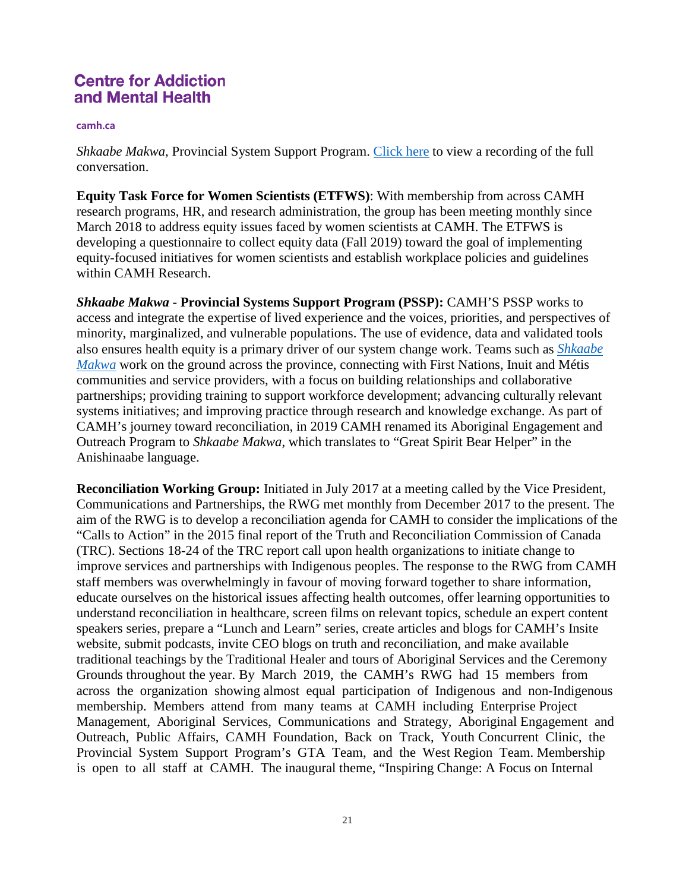#### **camh.ca**

*Shkaabe Makwa*, Provincial System Support Program. [Click here](https://www.youtube.com/watch?v=fefj6bWN_xM&feature=youtu.be) to view a recording of the full conversation.

**Equity Task Force for Women Scientists (ETFWS)**: With membership from across CAMH research programs, HR, and research administration, the group has been meeting monthly since March 2018 to address equity issues faced by women scientists at CAMH. The ETFWS is developing a questionnaire to collect equity data (Fall 2019) toward the goal of implementing equity-focused initiatives for women scientists and establish workplace policies and guidelines within CAMH Research.

*Shkaabe Makwa* **- Provincial Systems Support Program (PSSP):** CAMH'S PSSP works to access and integrate the expertise of lived experience and the voices, priorities, and perspectives of minority, marginalized, and vulnerable populations. The use of evidence, data and validated tools also ensures health equity is a primary driver of our system change work. Teams such as *[Shkaabe](https://www.camh.ca/en/driving-change/provincial-system-support-program/shkaabe-makwa)  [Makwa](https://www.camh.ca/en/driving-change/provincial-system-support-program/shkaabe-makwa)* work on the ground across the province, connecting with First Nations, Inuit and Métis communities and service providers, with a focus on building relationships and collaborative partnerships; providing training to support workforce development; advancing culturally relevant systems initiatives; and improving practice through research and knowledge exchange. As part of CAMH's journey toward reconciliation, in 2019 CAMH renamed its Aboriginal Engagement and Outreach Program to *Shkaabe Makwa*, which translates to "Great Spirit Bear Helper" in the Anishinaabe language.

**Reconciliation Working Group:** Initiated in July 2017 at a meeting called by the Vice President, Communications and Partnerships, the RWG met monthly from December 2017 to the present. The aim of the RWG is to develop a reconciliation agenda for CAMH to consider the implications of the "Calls to Action" in the 2015 final report of the Truth and Reconciliation Commission of Canada (TRC). Sections 18-24 of the TRC report call upon health organizations to initiate change to improve services and partnerships with Indigenous peoples. The response to the RWG from CAMH staff members was overwhelmingly in favour of moving forward together to share information, educate ourselves on the historical issues affecting health outcomes, offer learning opportunities to understand reconciliation in healthcare, screen films on relevant topics, schedule an expert content speakers series, prepare a "Lunch and Learn" series, create articles and blogs for CAMH's Insite website, submit podcasts, invite CEO blogs on truth and reconciliation, and make available traditional teachings by the Traditional Healer and tours of Aboriginal Services and the Ceremony Grounds throughout the year. By March 2019, the CAMH's RWG had 15 members from across the organization showing almost equal participation of Indigenous and non-Indigenous membership. Members attend from many teams at CAMH including Enterprise Project Management, Aboriginal Services, Communications and Strategy, Aboriginal Engagement and Outreach, Public Affairs, CAMH Foundation, Back on Track, Youth Concurrent Clinic, the Provincial System Support Program's GTA Team, and the West Region Team. Membership is open to all staff at CAMH. The inaugural theme, "Inspiring Change: A Focus on Internal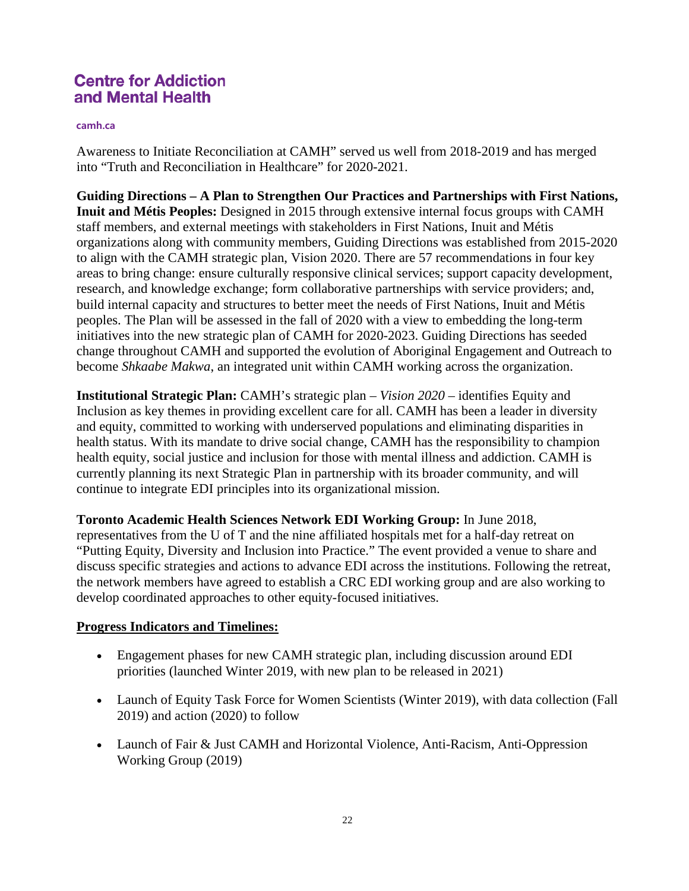#### **camh.ca**

Awareness to Initiate Reconciliation at CAMH" served us well from 2018-2019 and has merged into "Truth and Reconciliation in Healthcare" for 2020-2021.

**Guiding Directions – A Plan to Strengthen Our Practices and Partnerships with First Nations, Inuit and Métis Peoples:** Designed in 2015 through extensive internal focus groups with CAMH staff members, and external meetings with stakeholders in First Nations, Inuit and Métis organizations along with community members, Guiding Directions was established from 2015-2020 to align with the CAMH strategic plan, Vision 2020. There are 57 recommendations in four key areas to bring change: ensure culturally responsive clinical services; support capacity development, research, and knowledge exchange; form collaborative partnerships with service providers; and, build internal capacity and structures to better meet the needs of First Nations, Inuit and Métis peoples. The Plan will be assessed in the fall of 2020 with a view to embedding the long-term initiatives into the new strategic plan of CAMH for 2020-2023. Guiding Directions has seeded change throughout CAMH and supported the evolution of Aboriginal Engagement and Outreach to become *Shkaabe Makwa*, an integrated unit within CAMH working across the organization.

**Institutional Strategic Plan:** CAMH's strategic plan – *Vision 2020* – identifies Equity and Inclusion as key themes in providing excellent care for all. CAMH has been a leader in diversity and equity, committed to working with underserved populations and eliminating disparities in health status. With its mandate to drive social change, CAMH has the responsibility to champion health equity, social justice and inclusion for those with mental illness and addiction. CAMH is currently planning its next Strategic Plan in partnership with its broader community, and will continue to integrate EDI principles into its organizational mission.

**Toronto Academic Health Sciences Network EDI Working Group:** In June 2018, representatives from the U of T and the nine affiliated hospitals met for a half-day retreat on "Putting Equity, Diversity and Inclusion into Practice." The event provided a venue to share and discuss specific strategies and actions to advance EDI across the institutions. Following the retreat, the network members have agreed to establish a CRC EDI working group and are also working to develop coordinated approaches to other equity-focused initiatives.

#### **Progress Indicators and Timelines:**

- Engagement phases for new CAMH strategic plan, including discussion around EDI priorities (launched Winter 2019, with new plan to be released in 2021)
- Launch of Equity Task Force for Women Scientists (Winter 2019), with data collection (Fall 2019) and action (2020) to follow
- Launch of Fair & Just CAMH and Horizontal Violence, Anti-Racism, Anti-Oppression Working Group (2019)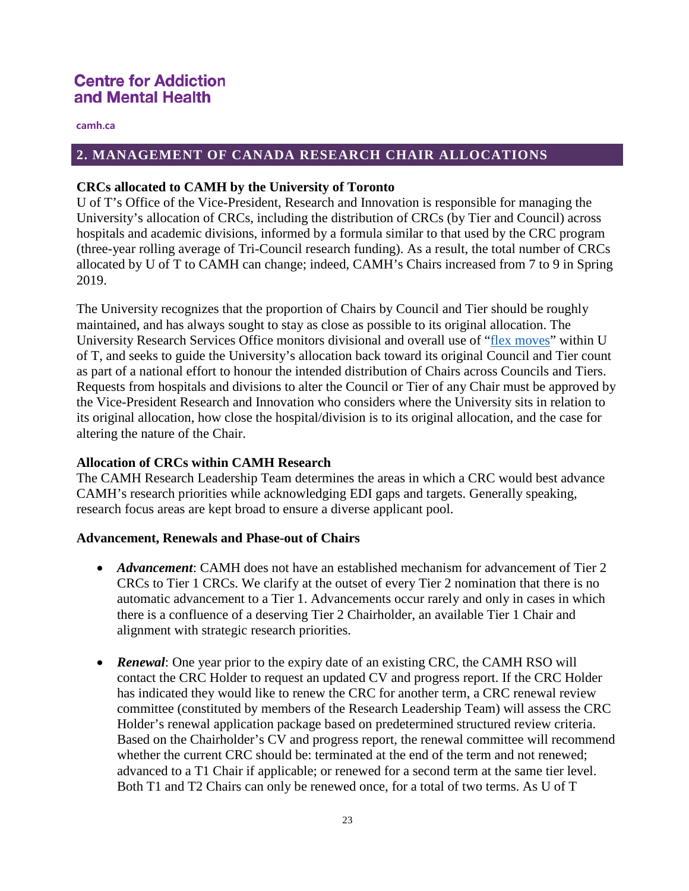**camh.ca**

### **2. MANAGEMENT OF CANADA RESEARCH CHAIR ALLOCATIONS**

#### **CRCs allocated to CAMH by the University of Toronto**

U of T's Office of the Vice-President, Research and Innovation is responsible for managing the University's allocation of CRCs, including the distribution of CRCs (by Tier and Council) across hospitals and academic divisions, informed by a formula similar to that used by the CRC program (three-year rolling average of Tri-Council research funding). As a result, the total number of CRCs allocated by U of T to CAMH can change; indeed, CAMH's Chairs increased from 7 to 9 in Spring 2019.

The University recognizes that the proportion of Chairs by Council and Tier should be roughly maintained, and has always sought to stay as close as possible to its original allocation. The University Research Services Office monitors divisional and overall use of ["flex moves"](http://www.chairs-chaires.gc.ca/program-programme/allocation-attribution-eng.aspx#chairs_toolbox) within U of T, and seeks to guide the University's allocation back toward its original Council and Tier count as part of a national effort to honour the intended distribution of Chairs across Councils and Tiers. Requests from hospitals and divisions to alter the Council or Tier of any Chair must be approved by the Vice-President Research and Innovation who considers where the University sits in relation to its original allocation, how close the hospital/division is to its original allocation, and the case for altering the nature of the Chair.

### **Allocation of CRCs within CAMH Research**

The CAMH Research Leadership Team determines the areas in which a CRC would best advance CAMH's research priorities while acknowledging EDI gaps and targets. Generally speaking, research focus areas are kept broad to ensure a diverse applicant pool.

#### **Advancement, Renewals and Phase-out of Chairs**

- *Advancement*: CAMH does not have an established mechanism for advancement of Tier 2 CRCs to Tier 1 CRCs. We clarify at the outset of every Tier 2 nomination that there is no automatic advancement to a Tier 1. Advancements occur rarely and only in cases in which there is a confluence of a deserving Tier 2 Chairholder, an available Tier 1 Chair and alignment with strategic research priorities.
- **Renewal**: One year prior to the expiry date of an existing CRC, the CAMH RSO will contact the CRC Holder to request an updated CV and progress report. If the CRC Holder has indicated they would like to renew the CRC for another term, a CRC renewal review committee (constituted by members of the Research Leadership Team) will assess the CRC Holder's renewal application package based on predetermined structured review criteria. Based on the Chairholder's CV and progress report, the renewal committee will recommend whether the current CRC should be: terminated at the end of the term and not renewed; advanced to a T1 Chair if applicable; or renewed for a second term at the same tier level. Both T1 and T2 Chairs can only be renewed once, for a total of two terms. As U of T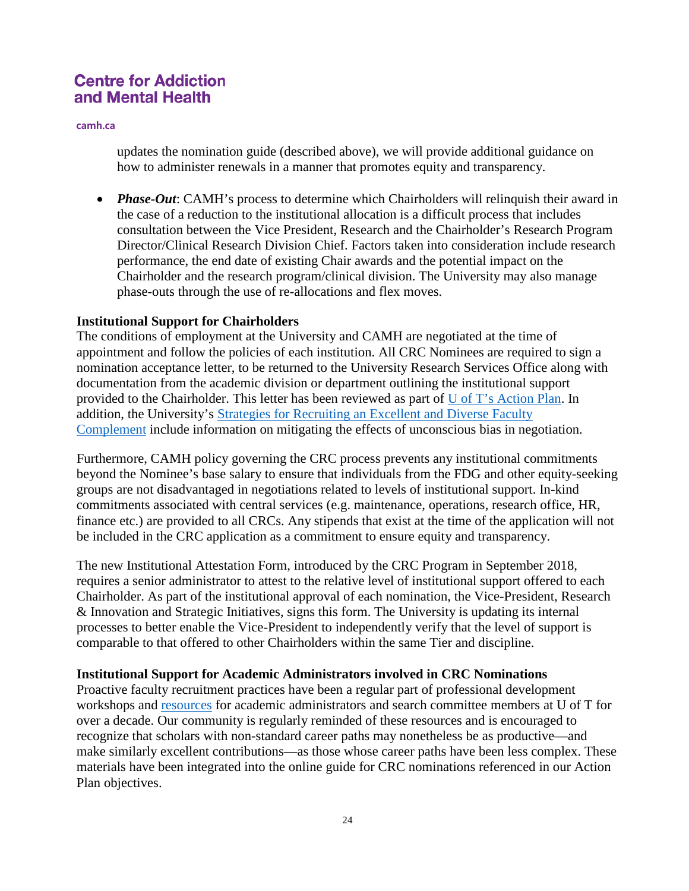**camh.ca**

updates the nomination guide (described above), we will provide additional guidance on how to administer renewals in a manner that promotes equity and transparency.

• *Phase-Out*: CAMH's process to determine which Chairholders will relinquish their award in the case of a reduction to the institutional allocation is a difficult process that includes consultation between the Vice President, Research and the Chairholder's Research Program Director/Clinical Research Division Chief. Factors taken into consideration include research performance, the end date of existing Chair awards and the potential impact on the Chairholder and the research program/clinical division. The University may also manage phase-outs through the use of re-allocations and flex moves.

#### **Institutional Support for Chairholders**

The conditions of employment at the University and CAMH are negotiated at the time of appointment and follow the policies of each institution. All CRC Nominees are required to sign a nomination acceptance letter, to be returned to the University Research Services Office along with documentation from the academic division or department outlining the institutional support provided to the Chairholder. This letter has been reviewed as part of [U of T's Action Plan.](http://www.research.utoronto.ca/crc/ediap/#review) In addition, the University's [Strategies for Recruiting an Excellent and Diverse Faculty](http://www.faculty.utoronto.ca/wp-content/uploads/2018/01/Recruiting-Excellent-Diverse-Faculty-Complement.pdf)  [Complement](http://www.faculty.utoronto.ca/wp-content/uploads/2018/01/Recruiting-Excellent-Diverse-Faculty-Complement.pdf) include information on mitigating the effects of unconscious bias in negotiation.

Furthermore, CAMH policy governing the CRC process prevents any institutional commitments beyond the Nominee's base salary to ensure that individuals from the FDG and other equity-seeking groups are not disadvantaged in negotiations related to levels of institutional support. In-kind commitments associated with central services (e.g. maintenance, operations, research office, HR, finance etc.) are provided to all CRCs. Any stipends that exist at the time of the application will not be included in the CRC application as a commitment to ensure equity and transparency.

The new Institutional Attestation Form, introduced by the CRC Program in September 2018, requires a senior administrator to attest to the relative level of institutional support offered to each Chairholder. As part of the institutional approval of each nomination, the Vice-President, Research & Innovation and Strategic Initiatives, signs this form. The University is updating its internal processes to better enable the Vice-President to independently verify that the level of support is comparable to that offered to other Chairholders within the same Tier and discipline.

### **Institutional Support for Academic Administrators involved in CRC Nominations**

Proactive faculty recruitment practices have been a regular part of professional development workshops and [resources](https://www.aapm.utoronto.ca/wp-content/uploads/sites/129/2019/02/better-practices-in-recruitment.pdf) for academic administrators and search committee members at U of T for over a decade. Our community is regularly reminded of these resources and is encouraged to recognize that scholars with non-standard career paths may nonetheless be as productive—and make similarly excellent contributions—as those whose career paths have been less complex. These materials have been integrated into the online guide for CRC nominations referenced in our Action Plan objectives.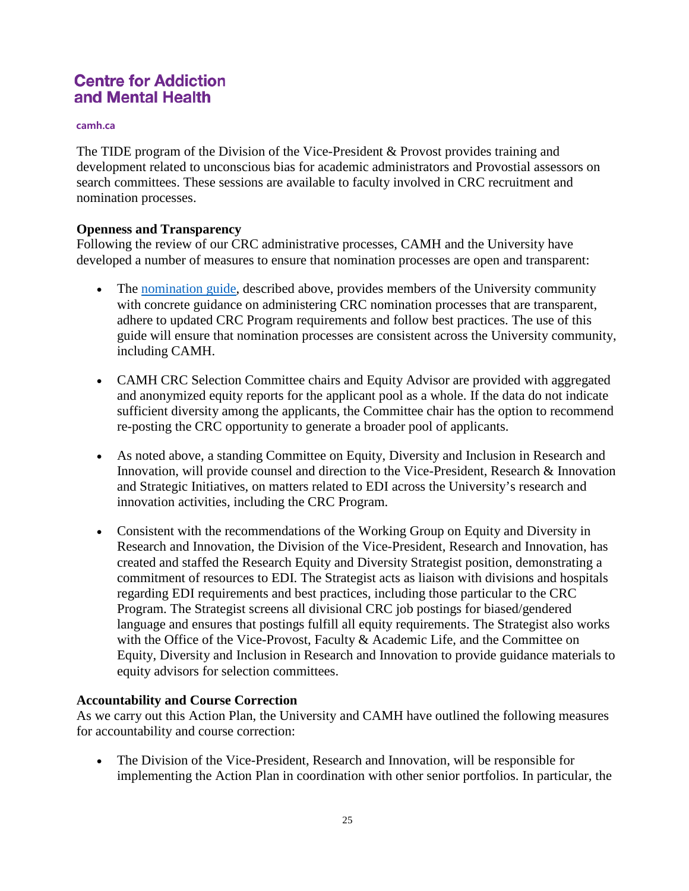#### **camh.ca**

The TIDE program of the Division of the Vice-President & Provost provides training and development related to unconscious bias for academic administrators and Provostial assessors on search committees. These sessions are available to faculty involved in CRC recruitment and nomination processes.

#### **Openness and Transparency**

Following the review of our CRC administrative processes, CAMH and the University have developed a number of measures to ensure that nomination processes are open and transparent:

- The [nomination guide,](http://www.research.utoronto.ca/crc/ediap/#Objective3) described above, provides members of the University community with concrete guidance on administering CRC nomination processes that are transparent, adhere to updated CRC Program requirements and follow best practices. The use of this guide will ensure that nomination processes are consistent across the University community, including CAMH.
- CAMH CRC Selection Committee chairs and Equity Advisor are provided with aggregated and anonymized equity reports for the applicant pool as a whole. If the data do not indicate sufficient diversity among the applicants, the Committee chair has the option to recommend re-posting the CRC opportunity to generate a broader pool of applicants.
- As noted above, a standing Committee on Equity, Diversity and Inclusion in Research and Innovation, will provide counsel and direction to the Vice-President, Research & Innovation and Strategic Initiatives, on matters related to EDI across the University's research and innovation activities, including the CRC Program.
- Consistent with the recommendations of the Working Group on Equity and Diversity in Research and Innovation, the Division of the Vice-President, Research and Innovation, has created and staffed the Research Equity and Diversity Strategist position, demonstrating a commitment of resources to EDI. The Strategist acts as liaison with divisions and hospitals regarding EDI requirements and best practices, including those particular to the CRC Program. The Strategist screens all divisional CRC job postings for biased/gendered language and ensures that postings fulfill all equity requirements. The Strategist also works with the Office of the Vice-Provost, Faculty & Academic Life, and the Committee on Equity, Diversity and Inclusion in Research and Innovation to provide guidance materials to equity advisors for selection committees.

### **Accountability and Course Correction**

As we carry out this Action Plan, the University and CAMH have outlined the following measures for accountability and course correction:

• The Division of the Vice-President, Research and Innovation, will be responsible for implementing the Action Plan in coordination with other senior portfolios. In particular, the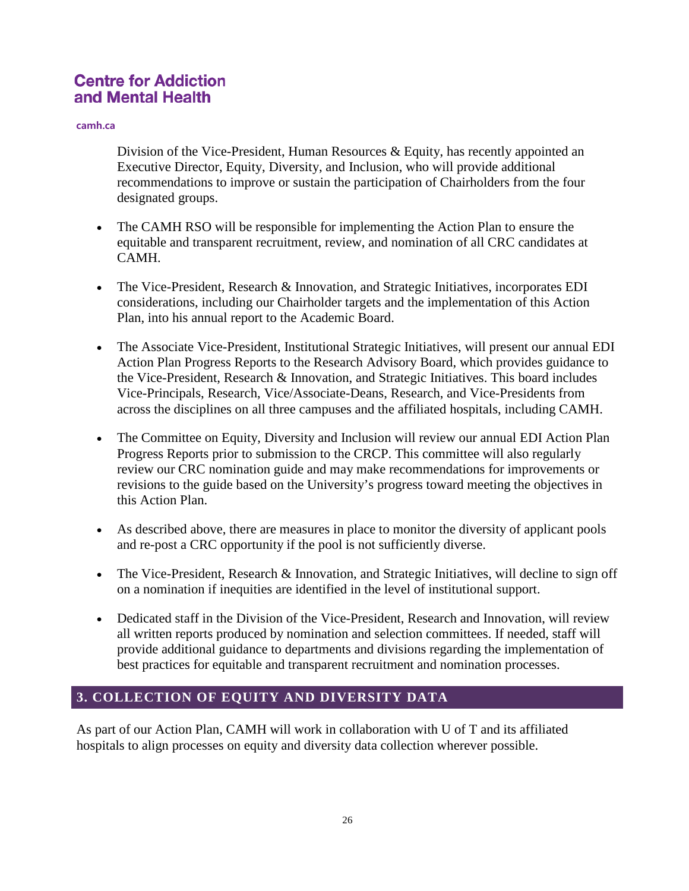#### **camh.ca**

Division of the Vice-President, Human Resources  $\&$  Equity, has recently appointed an Executive Director, Equity, Diversity, and Inclusion, who will provide additional recommendations to improve or sustain the participation of Chairholders from the four designated groups.

- The CAMH RSO will be responsible for implementing the Action Plan to ensure the equitable and transparent recruitment, review, and nomination of all CRC candidates at CAMH.
- The Vice-President, Research & Innovation, and Strategic Initiatives, incorporates EDI considerations, including our Chairholder targets and the implementation of this Action Plan, into his annual report to the Academic Board.
- The Associate Vice-President, Institutional Strategic Initiatives, will present our annual EDI Action Plan Progress Reports to the Research Advisory Board, which provides guidance to the Vice-President, Research & Innovation, and Strategic Initiatives. This board includes Vice-Principals, Research, Vice/Associate-Deans, Research, and Vice-Presidents from across the disciplines on all three campuses and the affiliated hospitals, including CAMH.
- The Committee on Equity, Diversity and Inclusion will review our annual EDI Action Plan Progress Reports prior to submission to the CRCP. This committee will also regularly review our CRC nomination guide and may make recommendations for improvements or revisions to the guide based on the University's progress toward meeting the objectives in this Action Plan.
- As described above, there are measures in place to monitor the diversity of applicant pools and re-post a CRC opportunity if the pool is not sufficiently diverse.
- The Vice-President, Research & Innovation, and Strategic Initiatives, will decline to sign off on a nomination if inequities are identified in the level of institutional support.
- Dedicated staff in the Division of the Vice-President, Research and Innovation, will review all written reports produced by nomination and selection committees. If needed, staff will provide additional guidance to departments and divisions regarding the implementation of best practices for equitable and transparent recruitment and nomination processes.

## **3. COLLECTION OF EQUITY AND DIVERSITY DATA**

As part of our Action Plan, CAMH will work in collaboration with U of T and its affiliated hospitals to align processes on equity and diversity data collection wherever possible.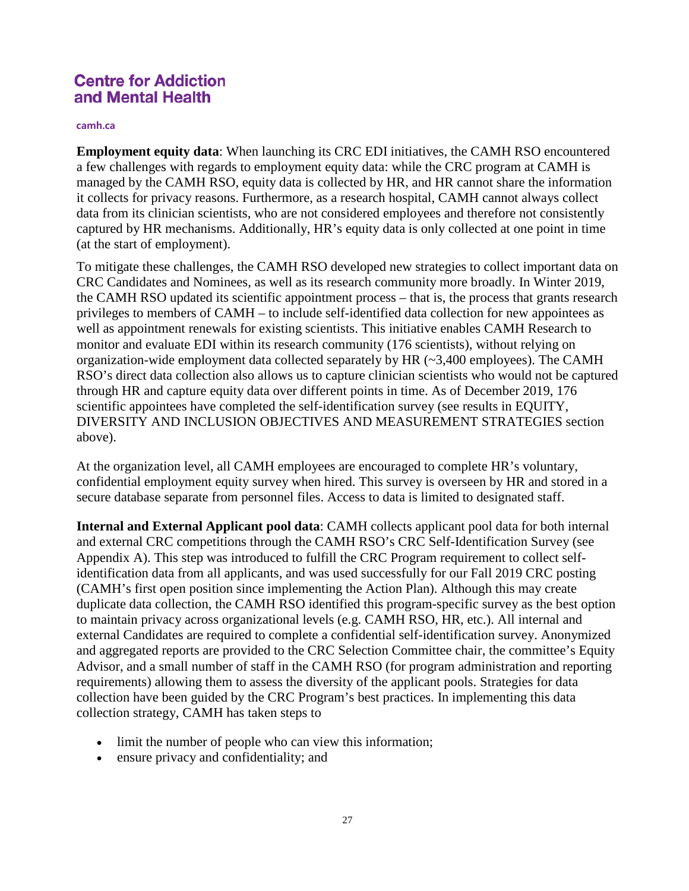#### **camh.ca**

**Employment equity data**: When launching its CRC EDI initiatives, the CAMH RSO encountered a few challenges with regards to employment equity data: while the CRC program at CAMH is managed by the CAMH RSO, equity data is collected by HR, and HR cannot share the information it collects for privacy reasons. Furthermore, as a research hospital, CAMH cannot always collect data from its clinician scientists, who are not considered employees and therefore not consistently captured by HR mechanisms. Additionally, HR's equity data is only collected at one point in time (at the start of employment).

To mitigate these challenges, the CAMH RSO developed new strategies to collect important data on CRC Candidates and Nominees, as well as its research community more broadly. In Winter 2019, the CAMH RSO updated its scientific appointment process – that is, the process that grants research privileges to members of CAMH – to include self-identified data collection for new appointees as well as appointment renewals for existing scientists. This initiative enables CAMH Research to monitor and evaluate EDI within its research community (176 scientists), without relying on organization-wide employment data collected separately by HR  $(\sim 3,400$  employees). The CAMH RSO's direct data collection also allows us to capture clinician scientists who would not be captured through HR and capture equity data over different points in time. As of December 2019, 176 scientific appointees have completed the self-identification survey (see results in EQUITY, DIVERSITY AND INCLUSION OBJECTIVES AND MEASUREMENT STRATEGIES section above).

At the organization level, all CAMH employees are encouraged to complete HR's voluntary, confidential employment equity survey when hired. This survey is overseen by HR and stored in a secure database separate from personnel files. Access to data is limited to designated staff.

**Internal and External Applicant pool data**: CAMH collects applicant pool data for both internal and external CRC competitions through the CAMH RSO's CRC Self-Identification Survey (see Appendix A). This step was introduced to fulfill the CRC Program requirement to collect selfidentification data from all applicants, and was used successfully for our Fall 2019 CRC posting (CAMH's first open position since implementing the Action Plan). Although this may create duplicate data collection, the CAMH RSO identified this program-specific survey as the best option to maintain privacy across organizational levels (e.g. CAMH RSO, HR, etc.). All internal and external Candidates are required to complete a confidential self-identification survey. Anonymized and aggregated reports are provided to the CRC Selection Committee chair, the committee's Equity Advisor, and a small number of staff in the CAMH RSO (for program administration and reporting requirements) allowing them to assess the diversity of the applicant pools. Strategies for data collection have been guided by the CRC Program's best practices. In implementing this data collection strategy, CAMH has taken steps to

- limit the number of people who can view this information;
- ensure privacy and confidentiality; and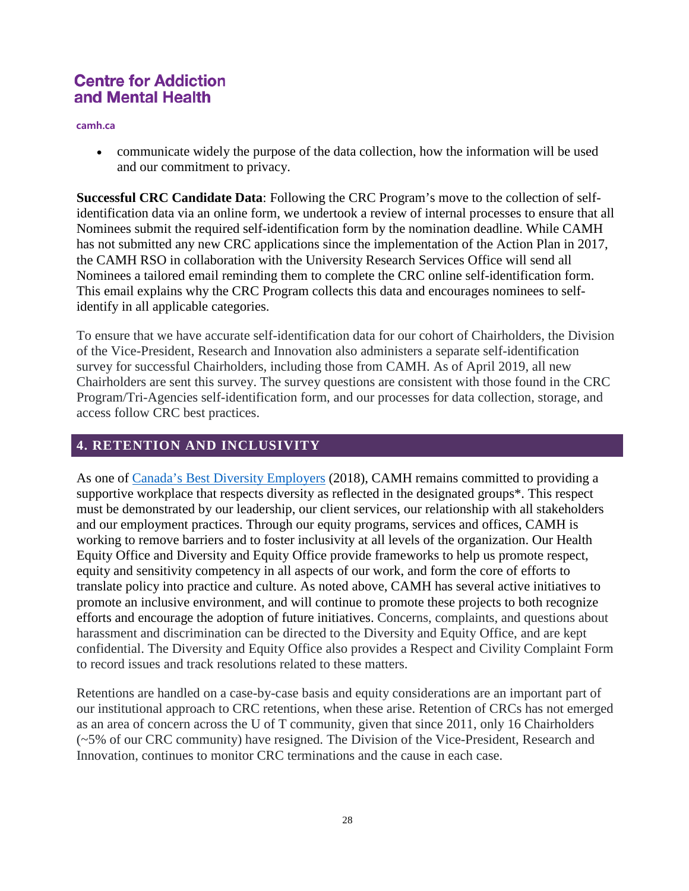**camh.ca**

• communicate widely the purpose of the data collection, how the information will be used and our commitment to privacy.

**Successful CRC Candidate Data**: Following the CRC Program's move to the collection of selfidentification data via an online form, we undertook a review of internal processes to ensure that all Nominees submit the required self-identification form by the nomination deadline. While CAMH has not submitted any new CRC applications since the implementation of the Action Plan in 2017, the CAMH RSO in collaboration with the University Research Services Office will send all Nominees a tailored email reminding them to complete the CRC online self-identification form. This email explains why the CRC Program collects this data and encourages nominees to selfidentify in all applicable categories.

To ensure that we have accurate self-identification data for our cohort of Chairholders, the Division of the Vice-President, Research and Innovation also administers a separate self-identification survey for successful Chairholders, including those from CAMH. As of April 2019, all new Chairholders are sent this survey. The survey questions are consistent with those found in the CRC Program/Tri-Agencies self-identification form, and our processes for data collection, storage, and access follow CRC best practices.

## **4. RETENTION AND INCLUSIVITY**

As one of [Canada's Best Diversity Employers](https://content.eluta.ca/top-employer-centre-for-addiction-and-mental-health) (2018), CAMH remains committed to providing a supportive workplace that respects diversity as reflected in the designated groups\*. This respect must be demonstrated by our leadership, our client services, our relationship with all stakeholders and our employment practices. Through our equity programs, services and offices, CAMH is working to remove barriers and to foster inclusivity at all levels of the organization. Our Health Equity Office and Diversity and Equity Office provide frameworks to help us promote respect, equity and sensitivity competency in all aspects of our work, and form the core of efforts to translate policy into practice and culture. As noted above, CAMH has several active initiatives to promote an inclusive environment, and will continue to promote these projects to both recognize efforts and encourage the adoption of future initiatives. Concerns, complaints, and questions about harassment and discrimination can be directed to the Diversity and Equity Office, and are kept confidential. The Diversity and Equity Office also provides a Respect and Civility Complaint Form to record issues and track resolutions related to these matters.

Retentions are handled on a case-by-case basis and equity considerations are an important part of our institutional approach to CRC retentions, when these arise. Retention of CRCs has not emerged as an area of concern across the U of T community, given that since 2011, only 16 Chairholders (~5% of our CRC community) have resigned. The Division of the Vice-President, Research and Innovation, continues to monitor CRC terminations and the cause in each case.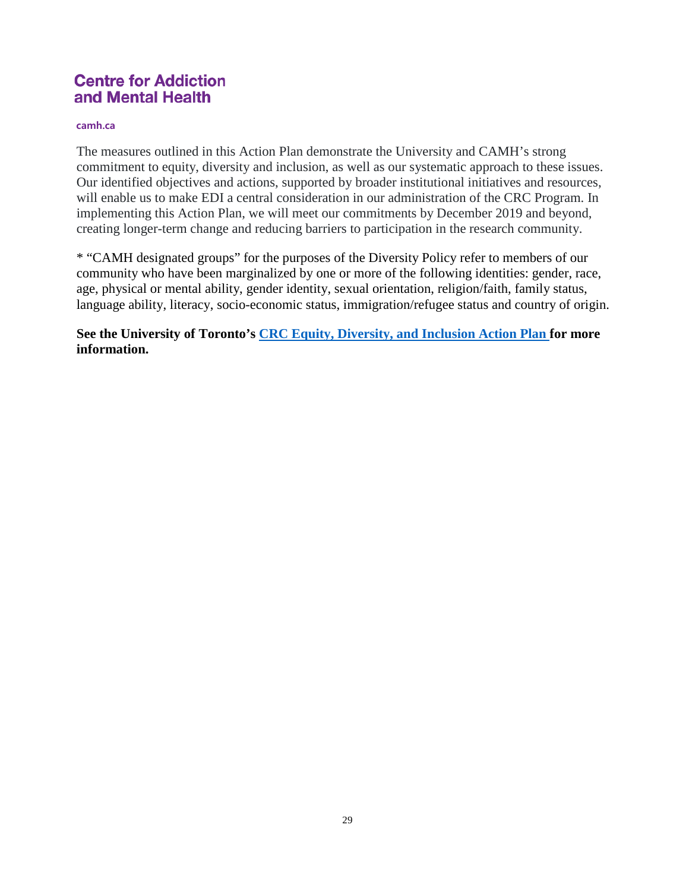#### **camh.ca**

The measures outlined in this Action Plan demonstrate the University and CAMH's strong commitment to equity, diversity and inclusion, as well as our systematic approach to these issues. Our identified objectives and actions, supported by broader institutional initiatives and resources, will enable us to make EDI a central consideration in our administration of the CRC Program. In implementing this Action Plan, we will meet our commitments by December 2019 and beyond, creating longer-term change and reducing barriers to participation in the research community.

\* "CAMH designated groups" for the purposes of the Diversity Policy refer to members of our community who have been marginalized by one or more of the following identities: gender, race, age, physical or mental ability, gender identity, sexual orientation, religion/faith, family status, language ability, literacy, socio-economic status, immigration/refugee status and country of origin.

**See the University of Toronto's [CRC Equity, Diversity, and Inclusion Action Plan](http://www.research.utoronto.ca/crc/ediap/) for more information.**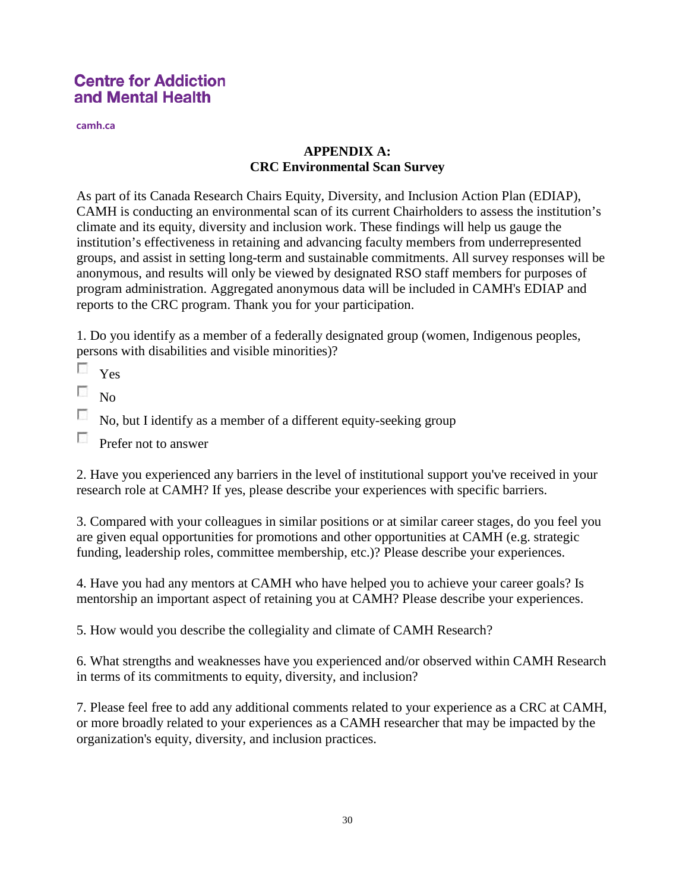**camh.ca**

## **APPENDIX A: CRC Environmental Scan Survey**

As part of its Canada Research Chairs Equity, Diversity, and Inclusion Action Plan (EDIAP), CAMH is conducting an environmental scan of its current Chairholders to assess the institution's climate and its equity, diversity and inclusion work. These findings will help us gauge the institution's effectiveness in retaining and advancing faculty members from underrepresented groups, and assist in setting long-term and sustainable commitments. All survey responses will be anonymous, and results will only be viewed by designated RSO staff members for purposes of program administration. Aggregated anonymous data will be included in CAMH's EDIAP and reports to the CRC program. Thank you for your participation.

1. Do you identify as a member of a federally designated group (women, Indigenous peoples, persons with disabilities and visible minorities)?

 $\sim$ Yes

 $\overline{\mathcal{L}}$ No

 $\overline{\phantom{a}}$ No, but I identify as a member of a different equity-seeking group

 $\sim$ Prefer not to answer

2. Have you experienced any barriers in the level of institutional support you've received in your research role at CAMH? If yes, please describe your experiences with specific barriers.

3. Compared with your colleagues in similar positions or at similar career stages, do you feel you are given equal opportunities for promotions and other opportunities at CAMH (e.g. strategic funding, leadership roles, committee membership, etc.)? Please describe your experiences.

4. Have you had any mentors at CAMH who have helped you to achieve your career goals? Is mentorship an important aspect of retaining you at CAMH? Please describe your experiences.

5. How would you describe the collegiality and climate of CAMH Research?

6. What strengths and weaknesses have you experienced and/or observed within CAMH Research in terms of its commitments to equity, diversity, and inclusion?

7. Please feel free to add any additional comments related to your experience as a CRC at CAMH, or more broadly related to your experiences as a CAMH researcher that may be impacted by the organization's equity, diversity, and inclusion practices.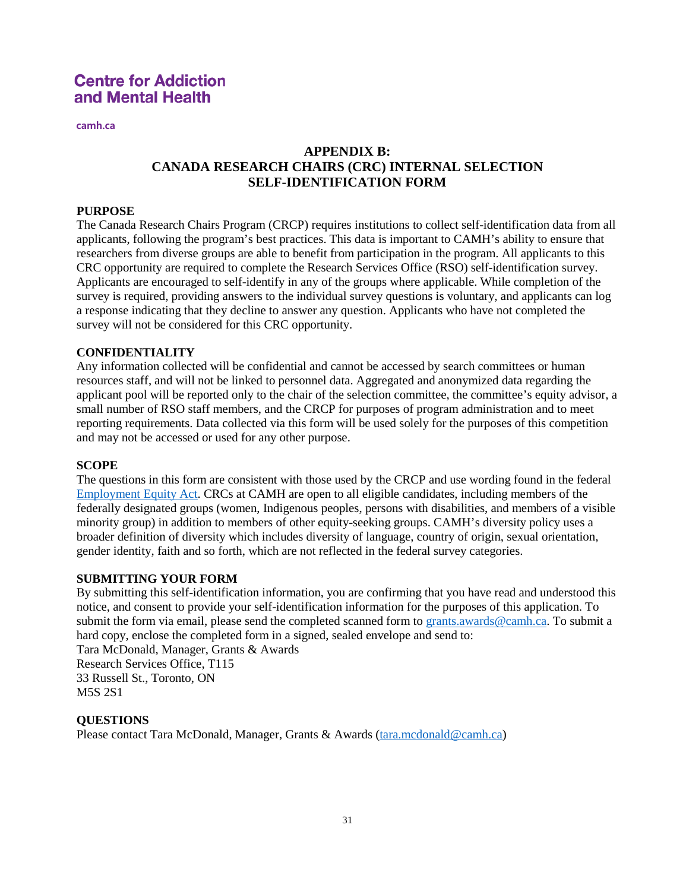**camh.ca**

## **APPENDIX B: CANADA RESEARCH CHAIRS (CRC) INTERNAL SELECTION SELF-IDENTIFICATION FORM**

#### **PURPOSE**

The Canada Research Chairs Program (CRCP) requires institutions to collect self-identification data from all applicants, following the program's best practices. This data is important to CAMH's ability to ensure that researchers from diverse groups are able to benefit from participation in the program. All applicants to this CRC opportunity are required to complete the Research Services Office (RSO) self-identification survey. Applicants are encouraged to self-identify in any of the groups where applicable. While completion of the survey is required, providing answers to the individual survey questions is voluntary, and applicants can log a response indicating that they decline to answer any question. Applicants who have not completed the survey will not be considered for this CRC opportunity.

### **CONFIDENTIALITY**

Any information collected will be confidential and cannot be accessed by search committees or human resources staff, and will not be linked to personnel data. Aggregated and anonymized data regarding the applicant pool will be reported only to the chair of the selection committee, the committee's equity advisor, a small number of RSO staff members, and the CRCP for purposes of program administration and to meet reporting requirements. Data collected via this form will be used solely for the purposes of this competition and may not be accessed or used for any other purpose.

#### **SCOPE**

The questions in this form are consistent with those used by the CRCP and use wording found in the federal [Employment Equity Act.](https://laws-lois.justice.gc.ca/eng/acts/e-5.401/) CRCs at CAMH are open to all eligible candidates, including members of the federally designated groups (women, Indigenous peoples, persons with disabilities, and members of a visible minority group) in addition to members of other equity-seeking groups. CAMH's diversity policy uses a broader definition of diversity which includes diversity of language, country of origin, sexual orientation, gender identity, faith and so forth, which are not reflected in the federal survey categories.

#### **SUBMITTING YOUR FORM**

By submitting this self-identification information, you are confirming that you have read and understood this notice, and consent to provide your self-identification information for the purposes of this application. To submit the form via email, please send the completed scanned form to [grants.awards@camh.ca.](mailto:grants.awards@camh.ca) To submit a hard copy, enclose the completed form in a signed, sealed envelope and send to:

Tara McDonald, Manager, Grants & Awards Research Services Office, T115 33 Russell St., Toronto, ON M5S 2S1

#### **QUESTIONS**

Please contact Tara McDonald, Manager, Grants & Awards [\(tara.mcdonald@camh.ca\)](mailto:tara.mcdonald@camh.ca)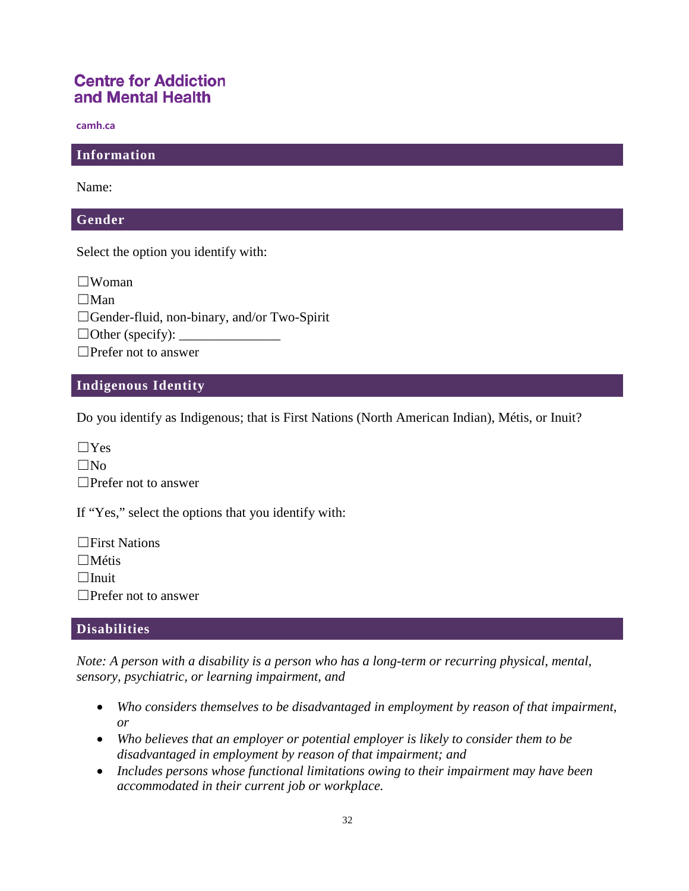**camh.ca**

### **Information**

Name:

#### **Gender**

Select the option you identify with:

 $\square$ Woman  $\Box$ Man ☐Gender-fluid, non-binary, and/or Two-Spirit  $\Box$  Other (specify): □Prefer not to answer

### **Indigenous Identity**

Do you identify as Indigenous; that is First Nations (North American Indian), Métis, or Inuit?

 $\Box$ Yes  $\square$ No □Prefer not to answer

If "Yes," select the options that you identify with:

☐First Nations ☐Métis  $\Box$ Inuit ☐Prefer not to answer

### **Disabilities**

*Note: A person with a disability is a person who has a long-term or recurring physical, mental, sensory, psychiatric, or learning impairment, and*

- *Who considers themselves to be disadvantaged in employment by reason of that impairment, or*
- *Who believes that an employer or potential employer is likely to consider them to be disadvantaged in employment by reason of that impairment; and*
- *Includes persons whose functional limitations owing to their impairment may have been accommodated in their current job or workplace.*